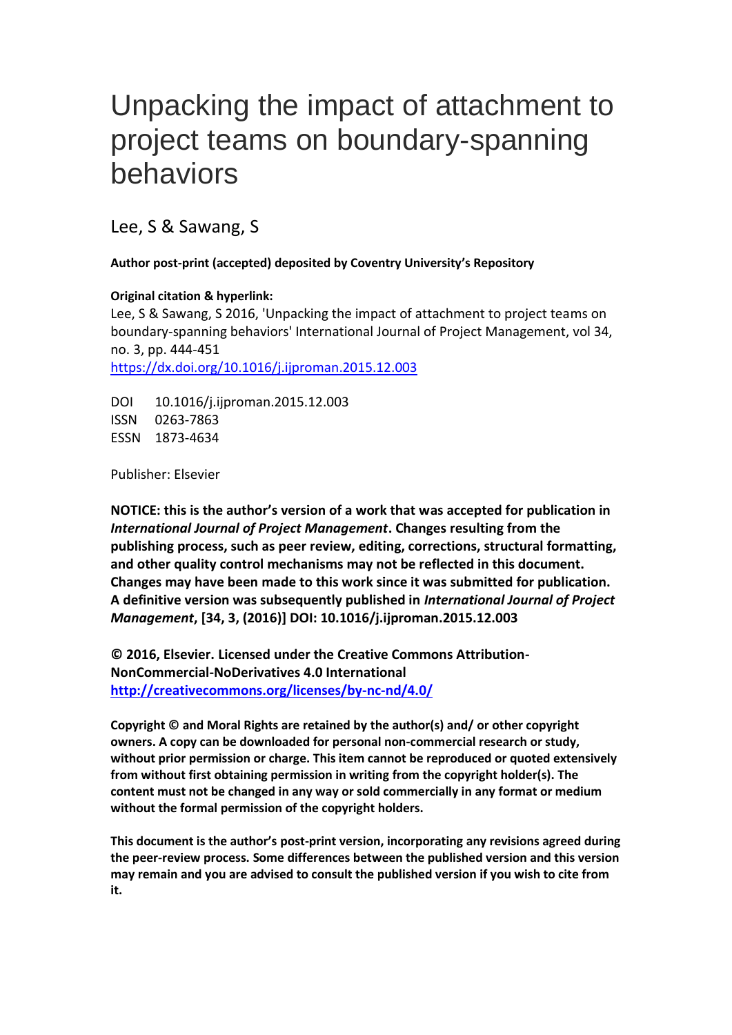# Unpacking the impact of attachment to project teams on boundary-spanning behaviors

Lee, S & Sawang, S

# **Author post-print (accepted) deposited by Coventry University's Repository**

# **Original citation & hyperlink:**

Lee, S & Sawang, S 2016, 'Unpacking the impact of attachment to project teams on boundary-spanning behaviors' International Journal of Project Management, vol 34, no. 3, pp. 444-451 <https://dx.doi.org/10.1016/j.ijproman.2015.12.003>

DOI 10.1016/j.ijproman.2015.12.003 ISSN 0263-7863 ESSN 1873-4634

Publisher: Elsevier

**NOTICE: this is the author's version of a work that was accepted for publication in**  *International Journal of Project Management***. Changes resulting from the publishing process, such as peer review, editing, corrections, structural formatting, and other quality control mechanisms may not be reflected in this document. Changes may have been made to this work since it was submitted for publication. A definitive version was subsequently published in** *International Journal of Project Management***, [34, 3, (2016)] DOI: 10.1016/j.ijproman.2015.12.003**

**© 2016, Elsevier. Licensed under the Creative Commons Attribution-NonCommercial-NoDerivatives 4.0 International <http://creativecommons.org/licenses/by-nc-nd/4.0/>**

**Copyright © and Moral Rights are retained by the author(s) and/ or other copyright owners. A copy can be downloaded for personal non-commercial research or study, without prior permission or charge. This item cannot be reproduced or quoted extensively from without first obtaining permission in writing from the copyright holder(s). The content must not be changed in any way or sold commercially in any format or medium without the formal permission of the copyright holders.** 

**This document is the author's post-print version, incorporating any revisions agreed during the peer-review process. Some differences between the published version and this version may remain and you are advised to consult the published version if you wish to cite from it.**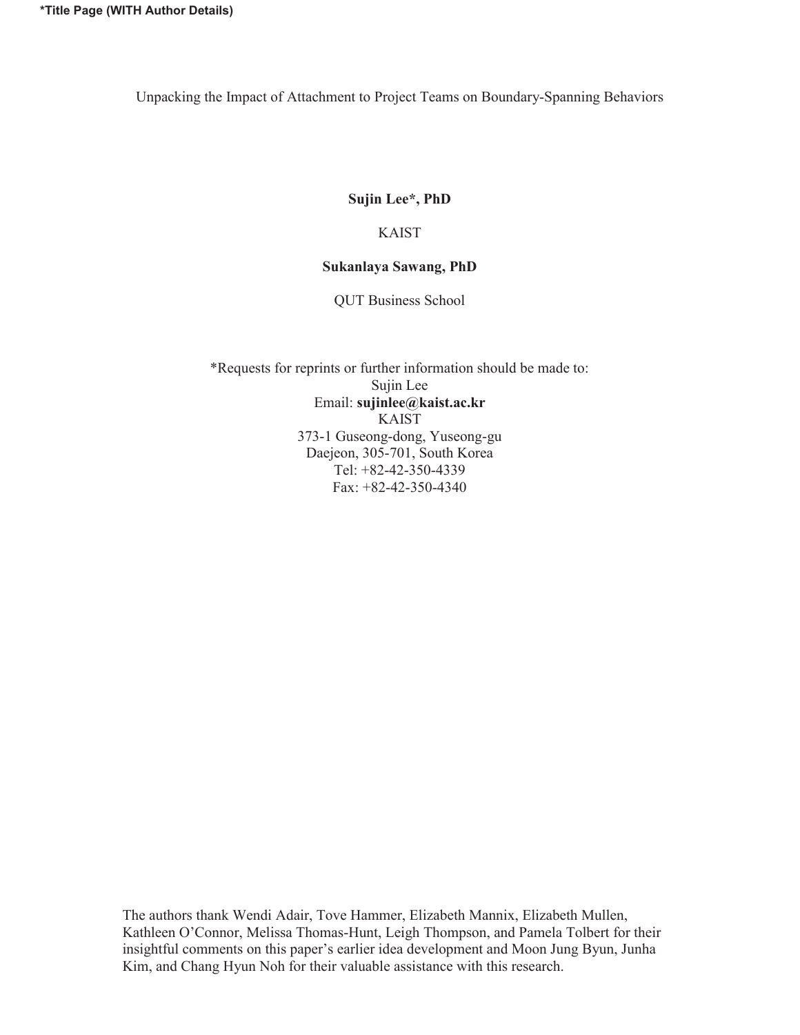Unpacking the Impact of Attachment to Project Teams on Boundary-Spanning Behaviors

# **Sujin Lee\*, PhD**

## KAIST

# **Sukanlaya Sawang, PhD**

QUT Business School

\*Requests for reprints or further information should be made to: Sujin Lee Email: **sujinlee@kaist.ac.kr** KAIST 373-1 Guseong-dong, Yuseong-gu Daejeon, 305-701, South Korea Tel: +82-42-350-4339 Fax: +82-42-350-4340

The authors thank Wendi Adair, Tove Hammer, Elizabeth Mannix, Elizabeth Mullen, Kathleen O'Connor, Melissa Thomas-Hunt, Leigh Thompson, and Pamela Tolbert for their insightful comments on this paper's earlier idea development and Moon Jung Byun, Junha Kim, and Chang Hyun Noh for their valuable assistance with this research.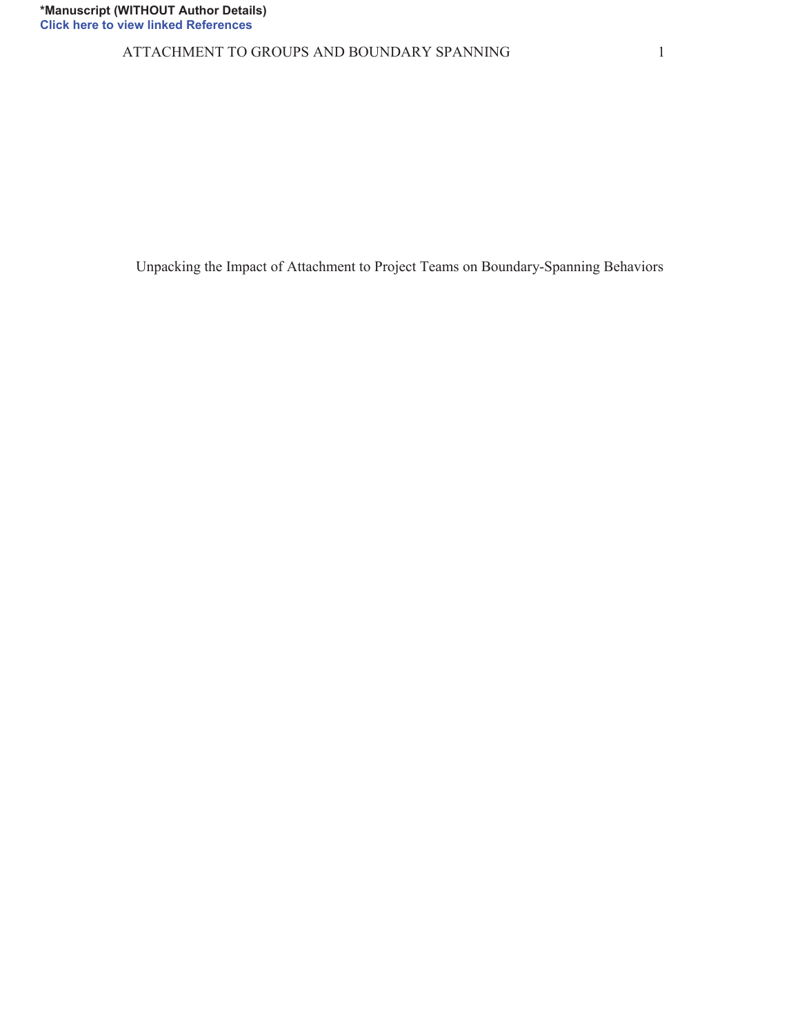ATTACHMENT TO GROUPS AND BOUNDARY SPANNING 1

Unpacking the Impact of Attachment to Project Teams on Boundary-Spanning Behaviors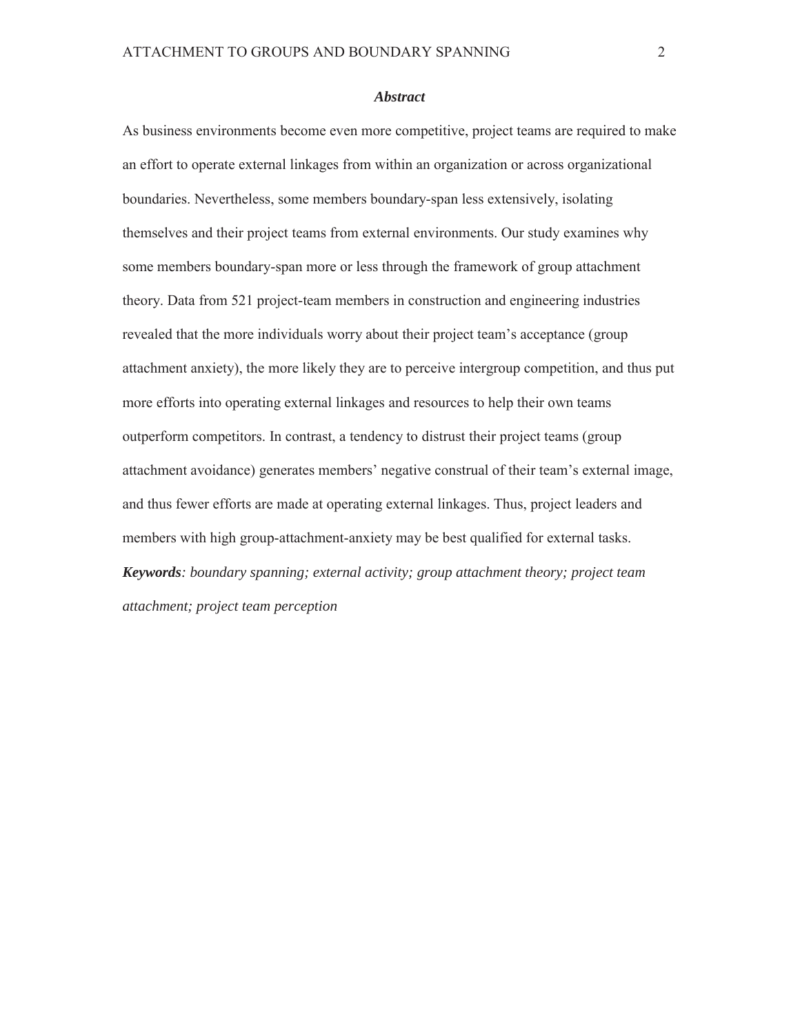#### *Abstract*

As business environments become even more competitive, project teams are required to make an effort to operate external linkages from within an organization or across organizational boundaries. Nevertheless, some members boundary-span less extensively, isolating themselves and their project teams from external environments. Our study examines why some members boundary-span more or less through the framework of group attachment theory. Data from 521 project-team members in construction and engineering industries revealed that the more individuals worry about their project team's acceptance (group attachment anxiety), the more likely they are to perceive intergroup competition, and thus put more efforts into operating external linkages and resources to help their own teams outperform competitors. In contrast, a tendency to distrust their project teams (group attachment avoidance) generates members' negative construal of their team's external image, and thus fewer efforts are made at operating external linkages. Thus, project leaders and members with high group-attachment-anxiety may be best qualified for external tasks. *Keywords: boundary spanning; external activity; group attachment theory; project team attachment; project team perception*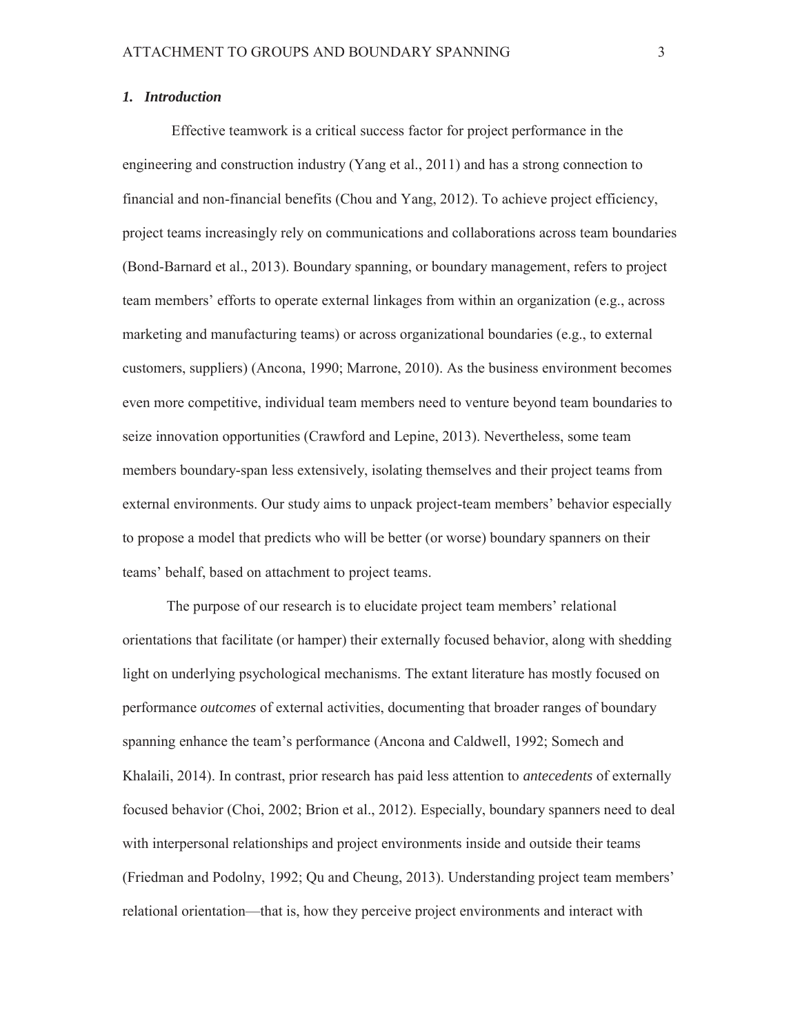### *1. Introduction*

 Effective teamwork is a critical success factor for project performance in the engineering and construction industry (Yang et al., 2011) and has a strong connection to financial and non-financial benefits (Chou and Yang, 2012). To achieve project efficiency, project teams increasingly rely on communications and collaborations across team boundaries (Bond-Barnard et al., 2013). Boundary spanning, or boundary management, refers to project team members' efforts to operate external linkages from within an organization (e.g., across marketing and manufacturing teams) or across organizational boundaries (e.g., to external customers, suppliers) (Ancona, 1990; Marrone, 2010). As the business environment becomes even more competitive, individual team members need to venture beyond team boundaries to seize innovation opportunities (Crawford and Lepine, 2013). Nevertheless, some team members boundary-span less extensively, isolating themselves and their project teams from external environments. Our study aims to unpack project-team members' behavior especially to propose a model that predicts who will be better (or worse) boundary spanners on their teams' behalf, based on attachment to project teams.

The purpose of our research is to elucidate project team members' relational orientations that facilitate (or hamper) their externally focused behavior, along with shedding light on underlying psychological mechanisms. The extant literature has mostly focused on performance *outcomes* of external activities, documenting that broader ranges of boundary spanning enhance the team's performance (Ancona and Caldwell, 1992; Somech and Khalaili, 2014). In contrast, prior research has paid less attention to *antecedents* of externally focused behavior (Choi, 2002; Brion et al., 2012). Especially, boundary spanners need to deal with interpersonal relationships and project environments inside and outside their teams (Friedman and Podolny, 1992; Qu and Cheung, 2013). Understanding project team members' relational orientation—that is, how they perceive project environments and interact with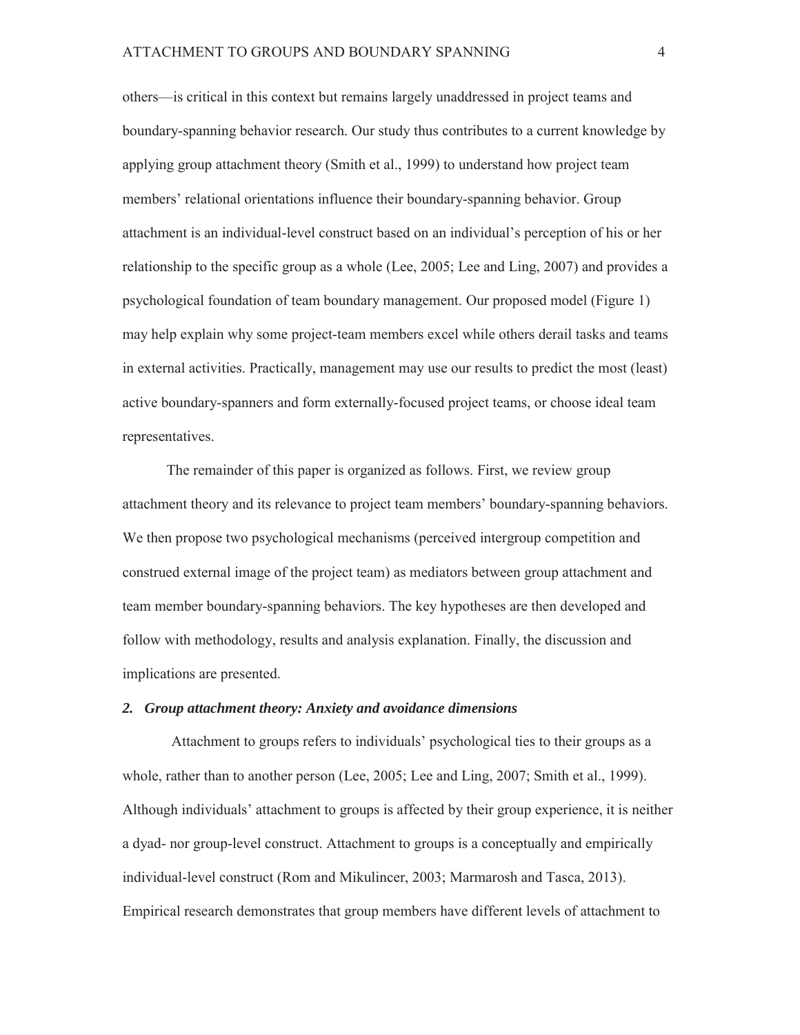others—is critical in this context but remains largely unaddressed in project teams and boundary-spanning behavior research. Our study thus contributes to a current knowledge by applying group attachment theory (Smith et al., 1999) to understand how project team members' relational orientations influence their boundary-spanning behavior. Group attachment is an individual-level construct based on an individual's perception of his or her relationship to the specific group as a whole (Lee, 2005; Lee and Ling, 2007) and provides a psychological foundation of team boundary management. Our proposed model (Figure 1) may help explain why some project-team members excel while others derail tasks and teams in external activities. Practically, management may use our results to predict the most (least) active boundary-spanners and form externally-focused project teams, or choose ideal team representatives.

The remainder of this paper is organized as follows. First, we review group attachment theory and its relevance to project team members' boundary-spanning behaviors. We then propose two psychological mechanisms (perceived intergroup competition and construed external image of the project team) as mediators between group attachment and team member boundary-spanning behaviors. The key hypotheses are then developed and follow with methodology, results and analysis explanation. Finally, the discussion and implications are presented.

### *2. Group attachment theory: Anxiety and avoidance dimensions*

 Attachment to groups refers to individuals' psychological ties to their groups as a whole, rather than to another person (Lee, 2005; Lee and Ling, 2007; Smith et al., 1999). Although individuals' attachment to groups is affected by their group experience, it is neither a dyad- nor group-level construct. Attachment to groups is a conceptually and empirically individual-level construct (Rom and Mikulincer, 2003; Marmarosh and Tasca, 2013). Empirical research demonstrates that group members have different levels of attachment to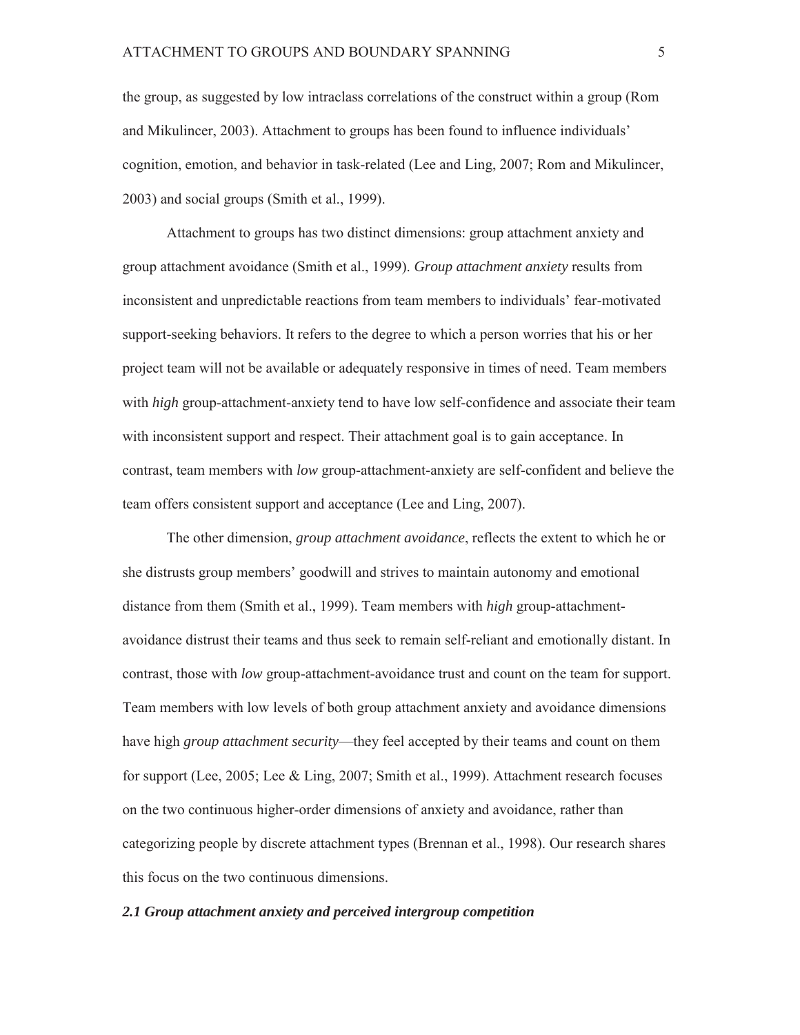the group, as suggested by low intraclass correlations of the construct within a group (Rom and Mikulincer, 2003). Attachment to groups has been found to influence individuals' cognition, emotion, and behavior in task-related (Lee and Ling, 2007; Rom and Mikulincer, 2003) and social groups (Smith et al., 1999).

Attachment to groups has two distinct dimensions: group attachment anxiety and group attachment avoidance (Smith et al., 1999). *Group attachment anxiety* results from inconsistent and unpredictable reactions from team members to individuals' fear-motivated support-seeking behaviors. It refers to the degree to which a person worries that his or her project team will not be available or adequately responsive in times of need. Team members with *high* group-attachment-anxiety tend to have low self-confidence and associate their team with inconsistent support and respect. Their attachment goal is to gain acceptance. In contrast, team members with *low* group-attachment-anxiety are self-confident and believe the team offers consistent support and acceptance (Lee and Ling, 2007).

The other dimension, *group attachment avoidance*, reflects the extent to which he or she distrusts group members' goodwill and strives to maintain autonomy and emotional distance from them (Smith et al., 1999). Team members with *high* group-attachmentavoidance distrust their teams and thus seek to remain self-reliant and emotionally distant. In contrast, those with *low* group-attachment-avoidance trust and count on the team for support. Team members with low levels of both group attachment anxiety and avoidance dimensions have high *group attachment security*—they feel accepted by their teams and count on them for support (Lee, 2005; Lee & Ling, 2007; Smith et al., 1999). Attachment research focuses on the two continuous higher-order dimensions of anxiety and avoidance, rather than categorizing people by discrete attachment types (Brennan et al., 1998). Our research shares this focus on the two continuous dimensions.

### *2.1 Group attachment anxiety and perceived intergroup competition*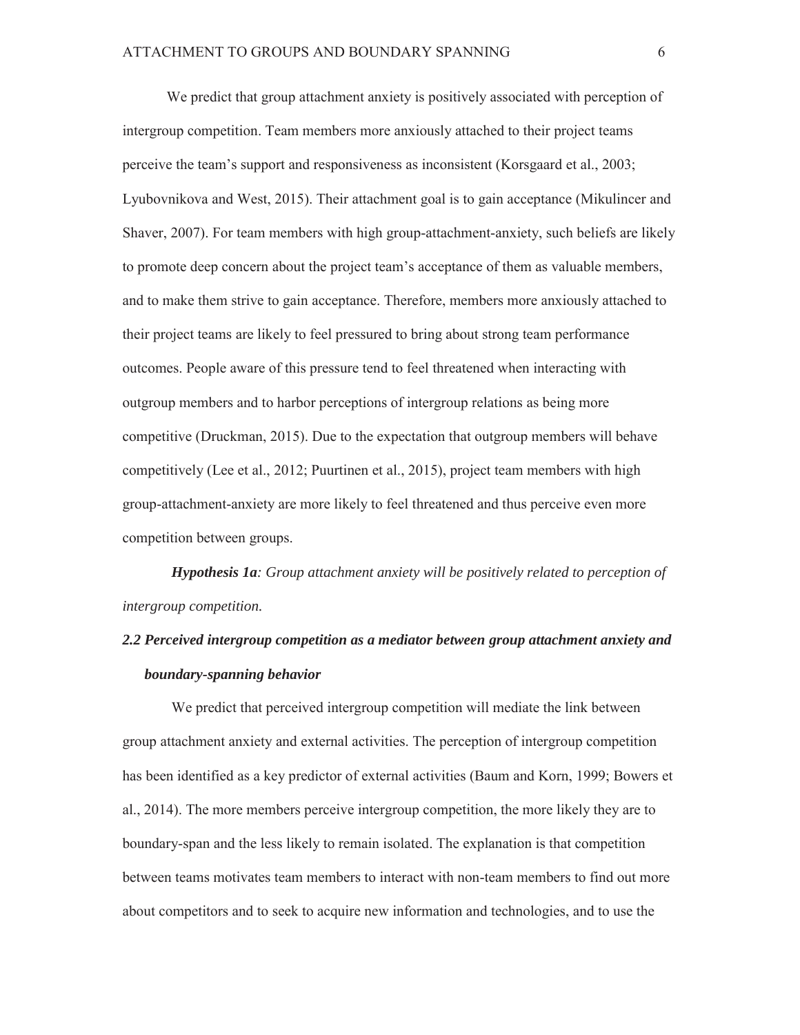We predict that group attachment anxiety is positively associated with perception of intergroup competition. Team members more anxiously attached to their project teams perceive the team's support and responsiveness as inconsistent (Korsgaard et al., 2003; Lyubovnikova and West, 2015). Their attachment goal is to gain acceptance (Mikulincer and Shaver, 2007). For team members with high group-attachment-anxiety, such beliefs are likely to promote deep concern about the project team's acceptance of them as valuable members, and to make them strive to gain acceptance. Therefore, members more anxiously attached to their project teams are likely to feel pressured to bring about strong team performance outcomes. People aware of this pressure tend to feel threatened when interacting with outgroup members and to harbor perceptions of intergroup relations as being more competitive (Druckman, 2015). Due to the expectation that outgroup members will behave competitively (Lee et al., 2012; Puurtinen et al., 2015), project team members with high group-attachment-anxiety are more likely to feel threatened and thus perceive even more competition between groups.

*Hypothesis 1a: Group attachment anxiety will be positively related to perception of intergroup competition.* 

# *2.2 Perceived intergroup competition as a mediator between group attachment anxiety and boundary-spanning behavior*

We predict that perceived intergroup competition will mediate the link between group attachment anxiety and external activities. The perception of intergroup competition has been identified as a key predictor of external activities (Baum and Korn, 1999; Bowers et al., 2014). The more members perceive intergroup competition, the more likely they are to boundary-span and the less likely to remain isolated. The explanation is that competition between teams motivates team members to interact with non-team members to find out more about competitors and to seek to acquire new information and technologies, and to use the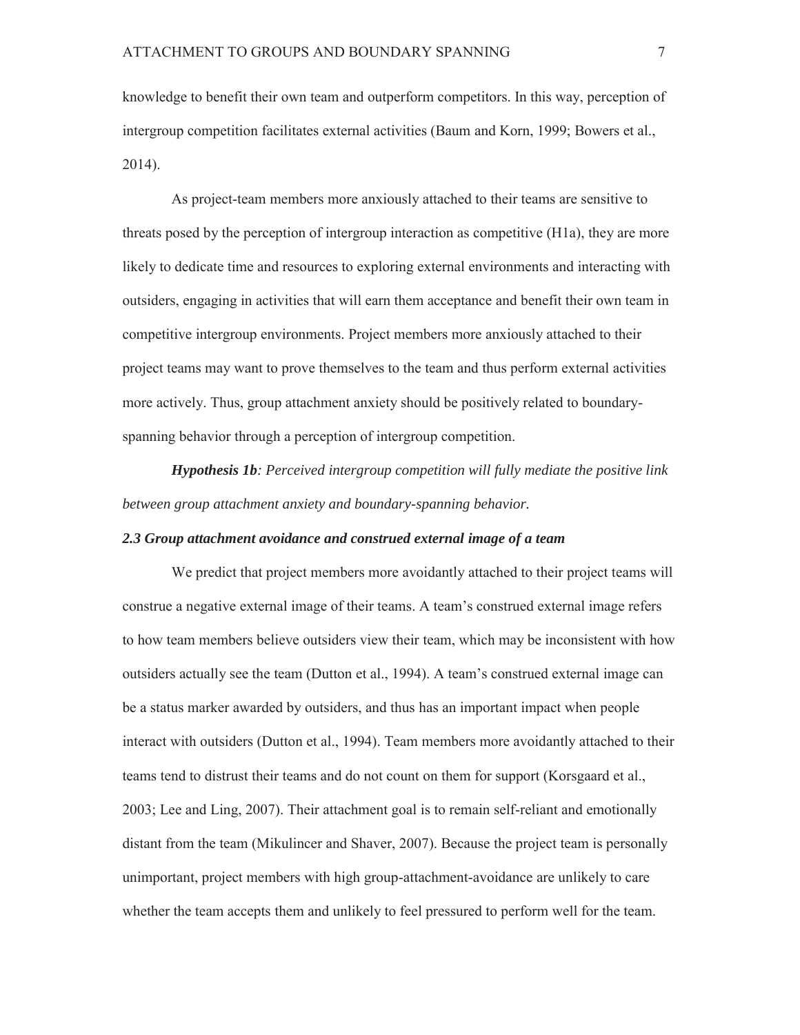knowledge to benefit their own team and outperform competitors. In this way, perception of intergroup competition facilitates external activities (Baum and Korn, 1999; Bowers et al., 2014).

As project-team members more anxiously attached to their teams are sensitive to threats posed by the perception of intergroup interaction as competitive (H1a), they are more likely to dedicate time and resources to exploring external environments and interacting with outsiders, engaging in activities that will earn them acceptance and benefit their own team in competitive intergroup environments. Project members more anxiously attached to their project teams may want to prove themselves to the team and thus perform external activities more actively. Thus, group attachment anxiety should be positively related to boundaryspanning behavior through a perception of intergroup competition.

*Hypothesis 1b: Perceived intergroup competition will fully mediate the positive link between group attachment anxiety and boundary-spanning behavior.* 

### *2.3 Group attachment avoidance and construed external image of a team*

We predict that project members more avoidantly attached to their project teams will construe a negative external image of their teams. A team's construed external image refers to how team members believe outsiders view their team, which may be inconsistent with how outsiders actually see the team (Dutton et al., 1994). A team's construed external image can be a status marker awarded by outsiders, and thus has an important impact when people interact with outsiders (Dutton et al., 1994). Team members more avoidantly attached to their teams tend to distrust their teams and do not count on them for support (Korsgaard et al., 2003; Lee and Ling, 2007). Their attachment goal is to remain self-reliant and emotionally distant from the team (Mikulincer and Shaver, 2007). Because the project team is personally unimportant, project members with high group-attachment-avoidance are unlikely to care whether the team accepts them and unlikely to feel pressured to perform well for the team.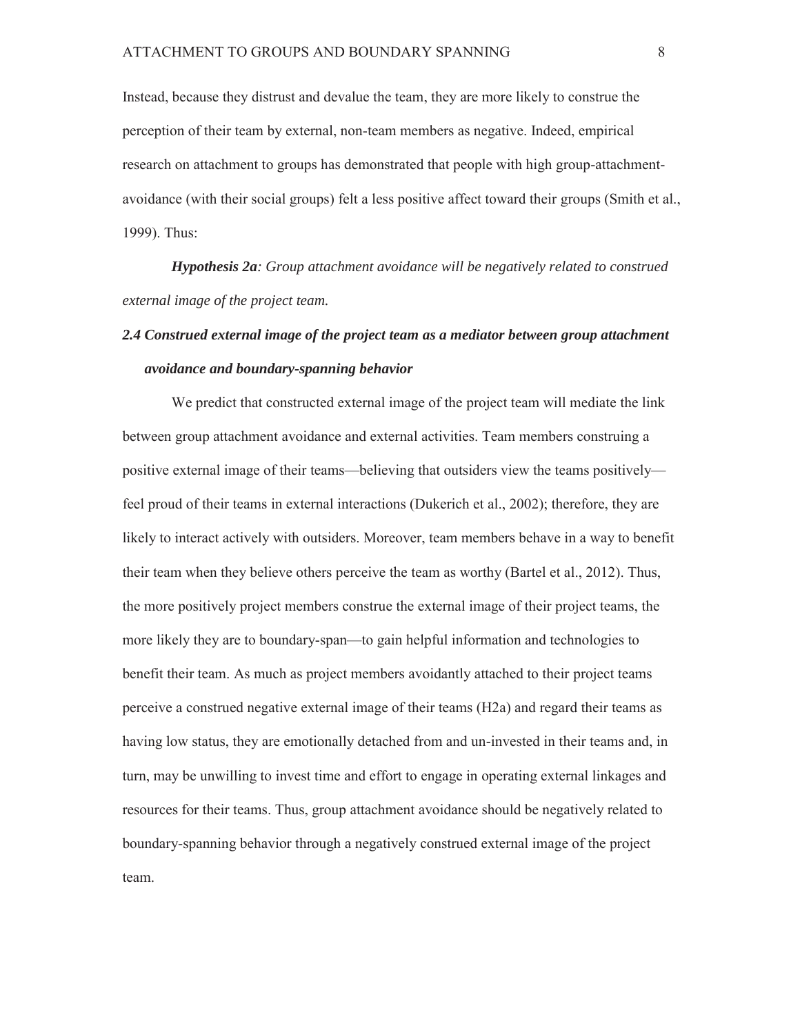Instead, because they distrust and devalue the team, they are more likely to construe the perception of their team by external, non-team members as negative. Indeed, empirical research on attachment to groups has demonstrated that people with high group-attachmentavoidance (with their social groups) felt a less positive affect toward their groups (Smith et al., 1999). Thus:

*Hypothesis 2a: Group attachment avoidance will be negatively related to construed external image of the project team.* 

# *2.4 Construed external image of the project team as a mediator between group attachment avoidance and boundary-spanning behavior*

 We predict that constructed external image of the project team will mediate the link between group attachment avoidance and external activities. Team members construing a positive external image of their teams—believing that outsiders view the teams positively feel proud of their teams in external interactions (Dukerich et al., 2002); therefore, they are likely to interact actively with outsiders. Moreover, team members behave in a way to benefit their team when they believe others perceive the team as worthy (Bartel et al., 2012). Thus, the more positively project members construe the external image of their project teams, the more likely they are to boundary-span—to gain helpful information and technologies to benefit their team. As much as project members avoidantly attached to their project teams perceive a construed negative external image of their teams (H2a) and regard their teams as having low status, they are emotionally detached from and un-invested in their teams and, in turn, may be unwilling to invest time and effort to engage in operating external linkages and resources for their teams. Thus, group attachment avoidance should be negatively related to boundary-spanning behavior through a negatively construed external image of the project team.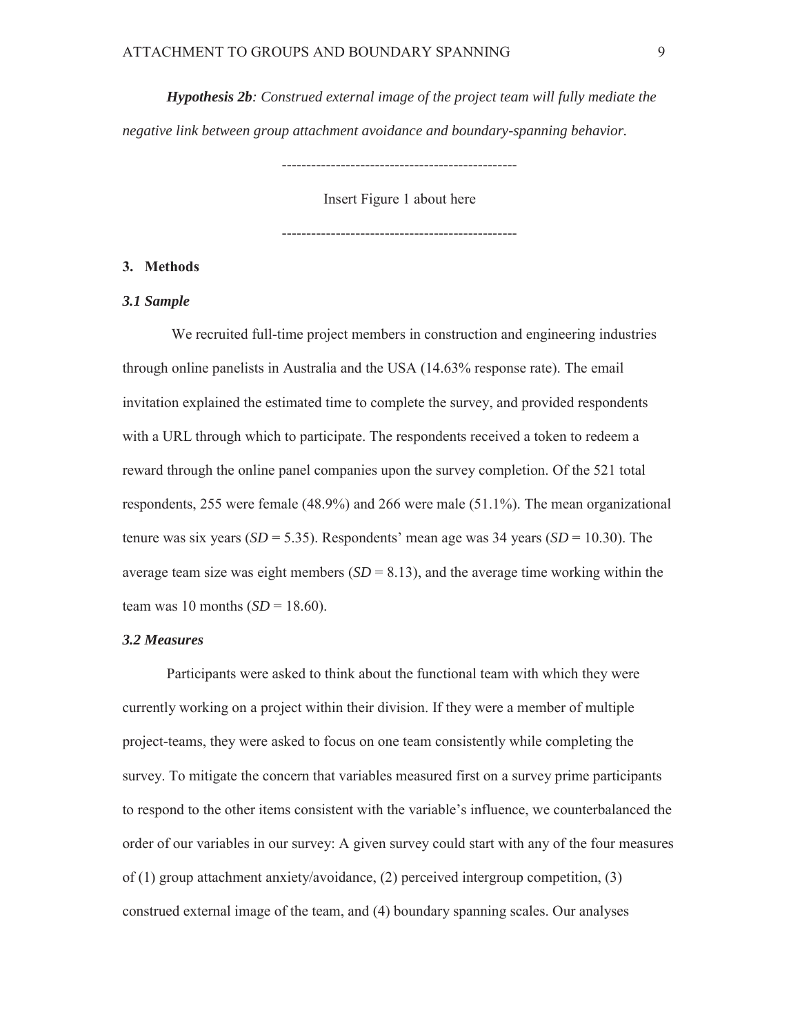*Hypothesis 2b: Construed external image of the project team will fully mediate the negative link between group attachment avoidance and boundary-spanning behavior.* 

Insert Figure 1 about here

------------------------------------------------

# **3. Methods**

# *3.1 Sample*

We recruited full-time project members in construction and engineering industries through online panelists in Australia and the USA (14.63% response rate). The email invitation explained the estimated time to complete the survey, and provided respondents with a URL through which to participate. The respondents received a token to redeem a reward through the online panel companies upon the survey completion. Of the 521 total respondents, 255 were female (48.9%) and 266 were male (51.1%). The mean organizational tenure was six years ( $SD = 5.35$ ). Respondents' mean age was 34 years ( $SD = 10.30$ ). The average team size was eight members  $(SD = 8.13)$ , and the average time working within the team was 10 months  $(SD = 18.60)$ .

### *3.2 Measures*

Participants were asked to think about the functional team with which they were currently working on a project within their division. If they were a member of multiple project-teams, they were asked to focus on one team consistently while completing the survey. To mitigate the concern that variables measured first on a survey prime participants to respond to the other items consistent with the variable's influence, we counterbalanced the order of our variables in our survey: A given survey could start with any of the four measures of (1) group attachment anxiety/avoidance, (2) perceived intergroup competition, (3) construed external image of the team, and (4) boundary spanning scales. Our analyses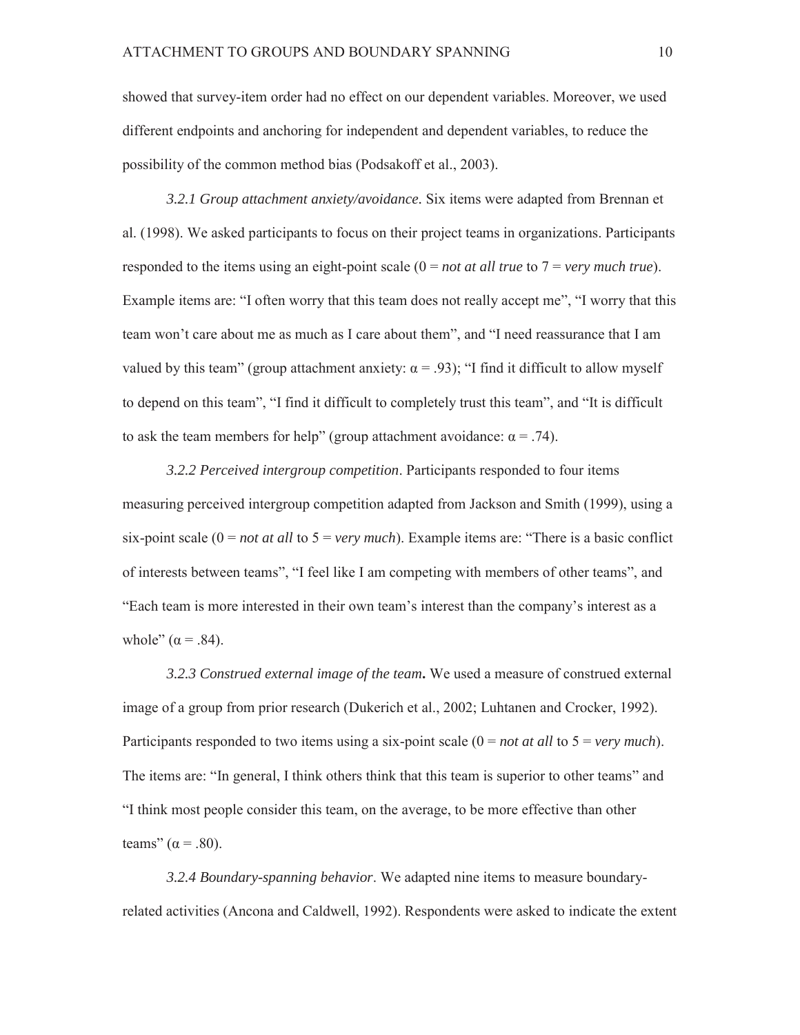showed that survey-item order had no effect on our dependent variables. Moreover, we used different endpoints and anchoring for independent and dependent variables, to reduce the possibility of the common method bias (Podsakoff et al., 2003).

*3.2.1 Group attachment anxiety/avoidance.* Six items were adapted from Brennan et al. (1998). We asked participants to focus on their project teams in organizations. Participants responded to the items using an eight-point scale (0 = *not at all true* to 7 = *very much true*). Example items are: "I often worry that this team does not really accept me", "I worry that this team won't care about me as much as I care about them", and "I need reassurance that I am valued by this team" (group attachment anxiety:  $\alpha = .93$ ); "I find it difficult to allow myself to depend on this team", "I find it difficult to completely trust this team", and "It is difficult to ask the team members for help" (group attachment avoidance:  $α = .74$ ).

*3.2.2 Perceived intergroup competition*. Participants responded to four items measuring perceived intergroup competition adapted from Jackson and Smith (1999), using a six-point scale (0 = *not at all* to 5 = *very much*). Example items are: "There is a basic conflict of interests between teams", "I feel like I am competing with members of other teams", and "Each team is more interested in their own team's interest than the company's interest as a whole"  $(\alpha = .84)$ .

*3.2.3 Construed external image of the team***.** We used a measure of construed external image of a group from prior research (Dukerich et al., 2002; Luhtanen and Crocker, 1992). Participants responded to two items using a six-point scale (0 = *not at all* to 5 = *very much*). The items are: "In general, I think others think that this team is superior to other teams" and "I think most people consider this team, on the average, to be more effective than other teams"  $(\alpha = .80)$ .

*3.2.4 Boundary-spanning behavior*. We adapted nine items to measure boundaryrelated activities (Ancona and Caldwell, 1992). Respondents were asked to indicate the extent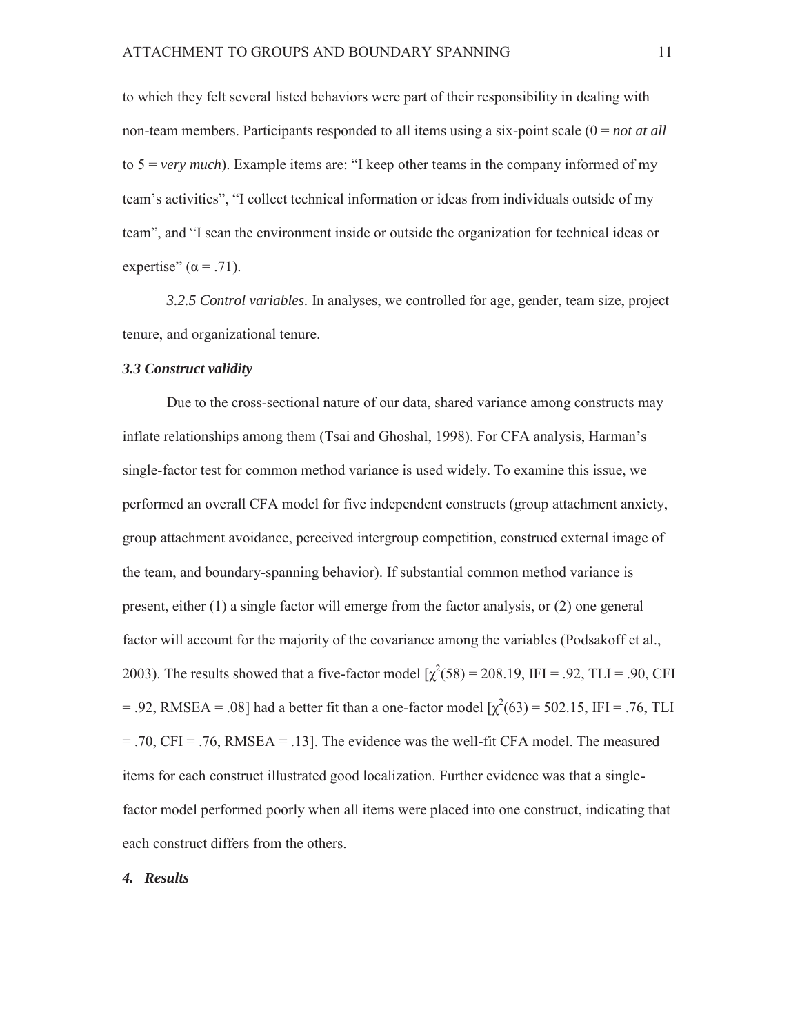to which they felt several listed behaviors were part of their responsibility in dealing with non-team members. Participants responded to all items using a six-point scale (0 = *not at all* to 5 = *very much*). Example items are: "I keep other teams in the company informed of my team's activities", "I collect technical information or ideas from individuals outside of my team", and "I scan the environment inside or outside the organization for technical ideas or expertise"  $(\alpha = .71)$ .

*3.2.5 Control variables.* In analyses, we controlled for age, gender, team size, project tenure, and organizational tenure.

### *3.3 Construct validity*

Due to the cross-sectional nature of our data, shared variance among constructs may inflate relationships among them (Tsai and Ghoshal, 1998). For CFA analysis, Harman's single-factor test for common method variance is used widely. To examine this issue, we performed an overall CFA model for five independent constructs (group attachment anxiety, group attachment avoidance, perceived intergroup competition, construed external image of the team, and boundary-spanning behavior). If substantial common method variance is present, either (1) a single factor will emerge from the factor analysis, or (2) one general factor will account for the majority of the covariance among the variables (Podsakoff et al., 2003). The results showed that a five-factor model  $\chi^2(58) = 208.19$ , IFI = .92, TLI = .90, CFI = .92, RMSEA = .08] had a better fit than a one-factor model  $[\chi^2(63) = 502.15$ , IFI = .76, TLI  $= .70$ , CFI =  $.76$ , RMSEA =  $.13$ ]. The evidence was the well-fit CFA model. The measured items for each construct illustrated good localization. Further evidence was that a singlefactor model performed poorly when all items were placed into one construct, indicating that each construct differs from the others.

### *4. Results*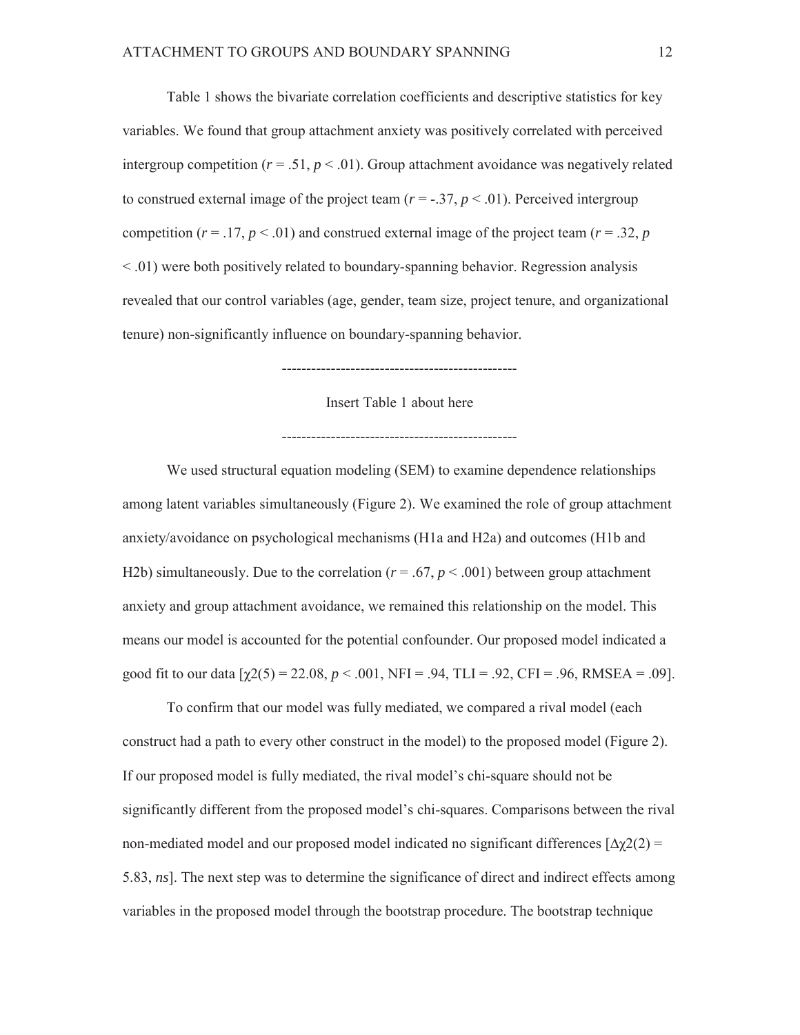Table 1 shows the bivariate correlation coefficients and descriptive statistics for key variables. We found that group attachment anxiety was positively correlated with perceived intergroup competition ( $r = .51$ ,  $p < .01$ ). Group attachment avoidance was negatively related to construed external image of the project team  $(r = -.37, p < .01)$ . Perceived intergroup competition ( $r = .17$ ,  $p < .01$ ) and construed external image of the project team ( $r = .32$ ,  $p$ ) < .01) were both positively related to boundary-spanning behavior. Regression analysis revealed that our control variables (age, gender, team size, project tenure, and organizational tenure) non-significantly influence on boundary-spanning behavior.

------------------------------------------------

Insert Table 1 about here

------------------------------------------------

We used structural equation modeling (SEM) to examine dependence relationships among latent variables simultaneously (Figure 2). We examined the role of group attachment anxiety/avoidance on psychological mechanisms (H1a and H2a) and outcomes (H1b and H2b) simultaneously. Due to the correlation  $(r = .67, p < .001)$  between group attachment anxiety and group attachment avoidance, we remained this relationship on the model. This means our model is accounted for the potential confounder. Our proposed model indicated a good fit to our data  $[\gamma 2(5) = 22.08, p < .001, NFI = .94, TLI = .92, CFI = .96, RMSEA = .09].$ 

To confirm that our model was fully mediated, we compared a rival model (each construct had a path to every other construct in the model) to the proposed model (Figure 2). If our proposed model is fully mediated, the rival model's chi-square should not be significantly different from the proposed model's chi-squares. Comparisons between the rival non-mediated model and our proposed model indicated no significant differences  $[\Delta \chi(2)] =$ 5.83, *ns*]. The next step was to determine the significance of direct and indirect effects among variables in the proposed model through the bootstrap procedure. The bootstrap technique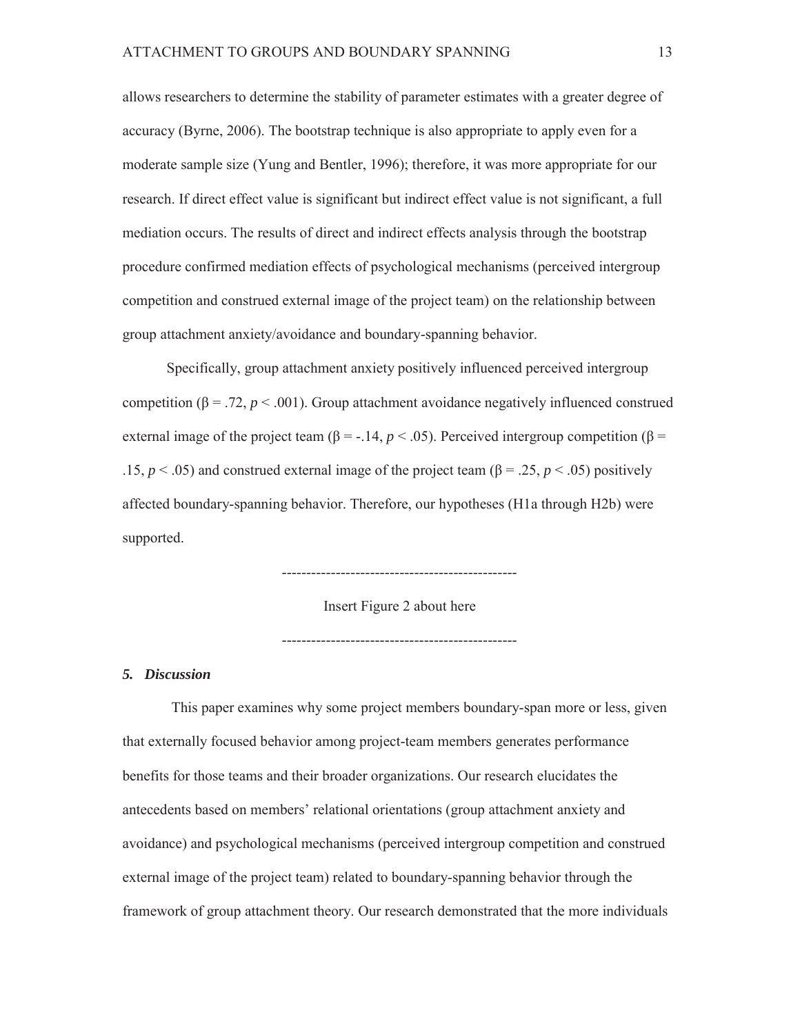allows researchers to determine the stability of parameter estimates with a greater degree of accuracy (Byrne, 2006). The bootstrap technique is also appropriate to apply even for a moderate sample size (Yung and Bentler, 1996); therefore, it was more appropriate for our research. If direct effect value is significant but indirect effect value is not significant, a full mediation occurs. The results of direct and indirect effects analysis through the bootstrap procedure confirmed mediation effects of psychological mechanisms (perceived intergroup competition and construed external image of the project team) on the relationship between group attachment anxiety/avoidance and boundary-spanning behavior.

Specifically, group attachment anxiety positively influenced perceived intergroup competition ( $\beta$  = .72,  $p$  < .001). Group attachment avoidance negatively influenced construed external image of the project team ( $β = -.14$ ,  $p < .05$ ). Perceived intergroup competition ( $β =$ .15,  $p < .05$ ) and construed external image of the project team ( $\beta = .25$ ,  $p < .05$ ) positively affected boundary-spanning behavior. Therefore, our hypotheses (H1a through H2b) were supported.

Insert Figure 2 about here

------------------------------------------------

------------------------------------------------

*5. Discussion* 

This paper examines why some project members boundary-span more or less, given that externally focused behavior among project-team members generates performance benefits for those teams and their broader organizations. Our research elucidates the antecedents based on members' relational orientations (group attachment anxiety and avoidance) and psychological mechanisms (perceived intergroup competition and construed external image of the project team) related to boundary-spanning behavior through the framework of group attachment theory. Our research demonstrated that the more individuals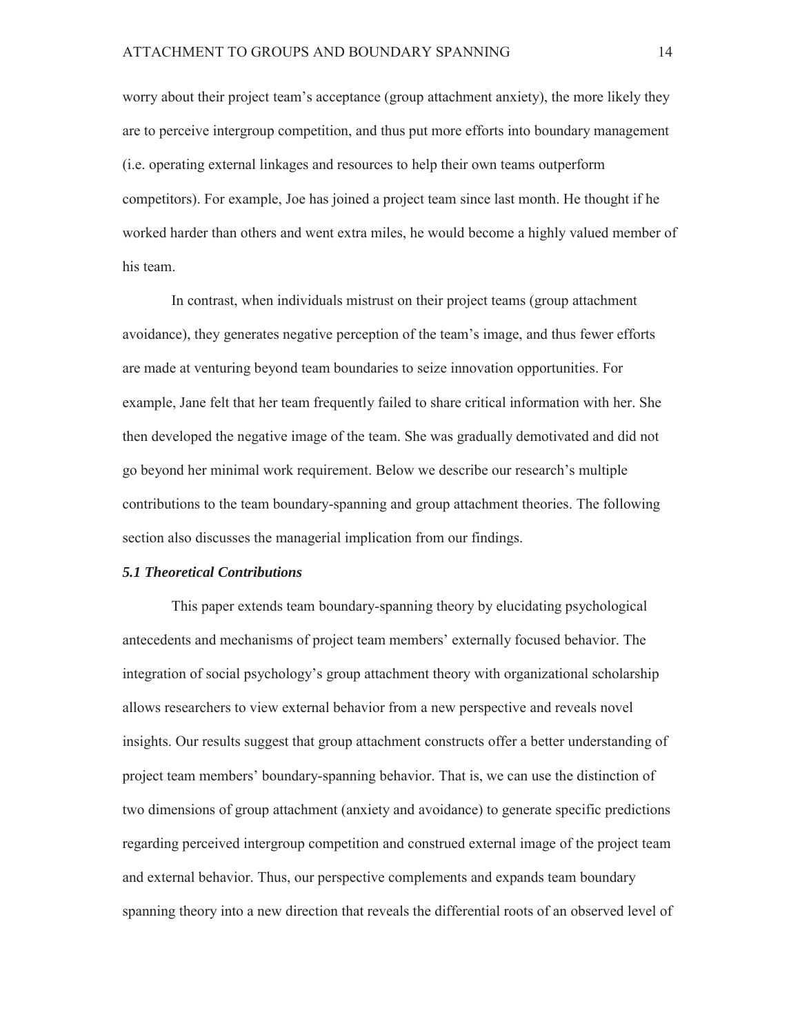worry about their project team's acceptance (group attachment anxiety), the more likely they are to perceive intergroup competition, and thus put more efforts into boundary management (i.e. operating external linkages and resources to help their own teams outperform competitors). For example, Joe has joined a project team since last month. He thought if he worked harder than others and went extra miles, he would become a highly valued member of his team.

In contrast, when individuals mistrust on their project teams (group attachment avoidance), they generates negative perception of the team's image, and thus fewer efforts are made at venturing beyond team boundaries to seize innovation opportunities. For example, Jane felt that her team frequently failed to share critical information with her. She then developed the negative image of the team. She was gradually demotivated and did not go beyond her minimal work requirement. Below we describe our research's multiple contributions to the team boundary-spanning and group attachment theories. The following section also discusses the managerial implication from our findings.

### *5.1 Theoretical Contributions*

This paper extends team boundary-spanning theory by elucidating psychological antecedents and mechanisms of project team members' externally focused behavior. The integration of social psychology's group attachment theory with organizational scholarship allows researchers to view external behavior from a new perspective and reveals novel insights. Our results suggest that group attachment constructs offer a better understanding of project team members' boundary-spanning behavior. That is, we can use the distinction of two dimensions of group attachment (anxiety and avoidance) to generate specific predictions regarding perceived intergroup competition and construed external image of the project team and external behavior. Thus, our perspective complements and expands team boundary spanning theory into a new direction that reveals the differential roots of an observed level of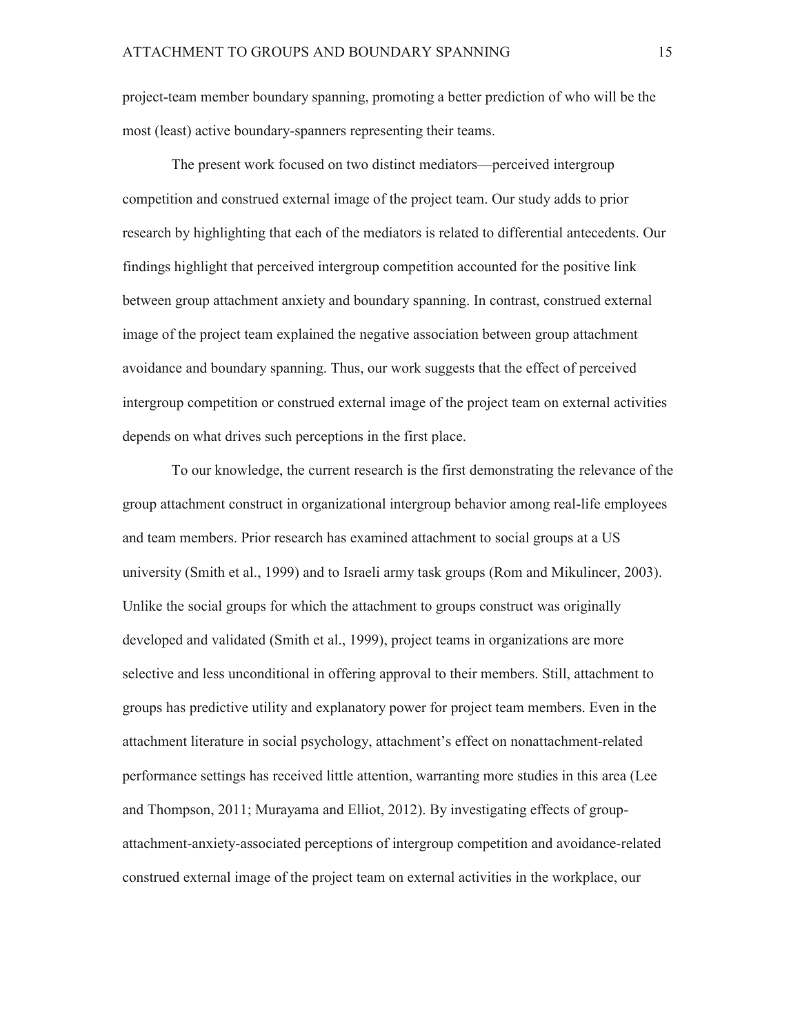project-team member boundary spanning, promoting a better prediction of who will be the most (least) active boundary-spanners representing their teams.

The present work focused on two distinct mediators—perceived intergroup competition and construed external image of the project team. Our study adds to prior research by highlighting that each of the mediators is related to differential antecedents. Our findings highlight that perceived intergroup competition accounted for the positive link between group attachment anxiety and boundary spanning. In contrast, construed external image of the project team explained the negative association between group attachment avoidance and boundary spanning. Thus, our work suggests that the effect of perceived intergroup competition or construed external image of the project team on external activities depends on what drives such perceptions in the first place.

To our knowledge, the current research is the first demonstrating the relevance of the group attachment construct in organizational intergroup behavior among real-life employees and team members. Prior research has examined attachment to social groups at a US university (Smith et al., 1999) and to Israeli army task groups (Rom and Mikulincer, 2003). Unlike the social groups for which the attachment to groups construct was originally developed and validated (Smith et al., 1999), project teams in organizations are more selective and less unconditional in offering approval to their members. Still, attachment to groups has predictive utility and explanatory power for project team members. Even in the attachment literature in social psychology, attachment's effect on nonattachment-related performance settings has received little attention, warranting more studies in this area (Lee and Thompson, 2011; Murayama and Elliot, 2012). By investigating effects of groupattachment-anxiety-associated perceptions of intergroup competition and avoidance-related construed external image of the project team on external activities in the workplace, our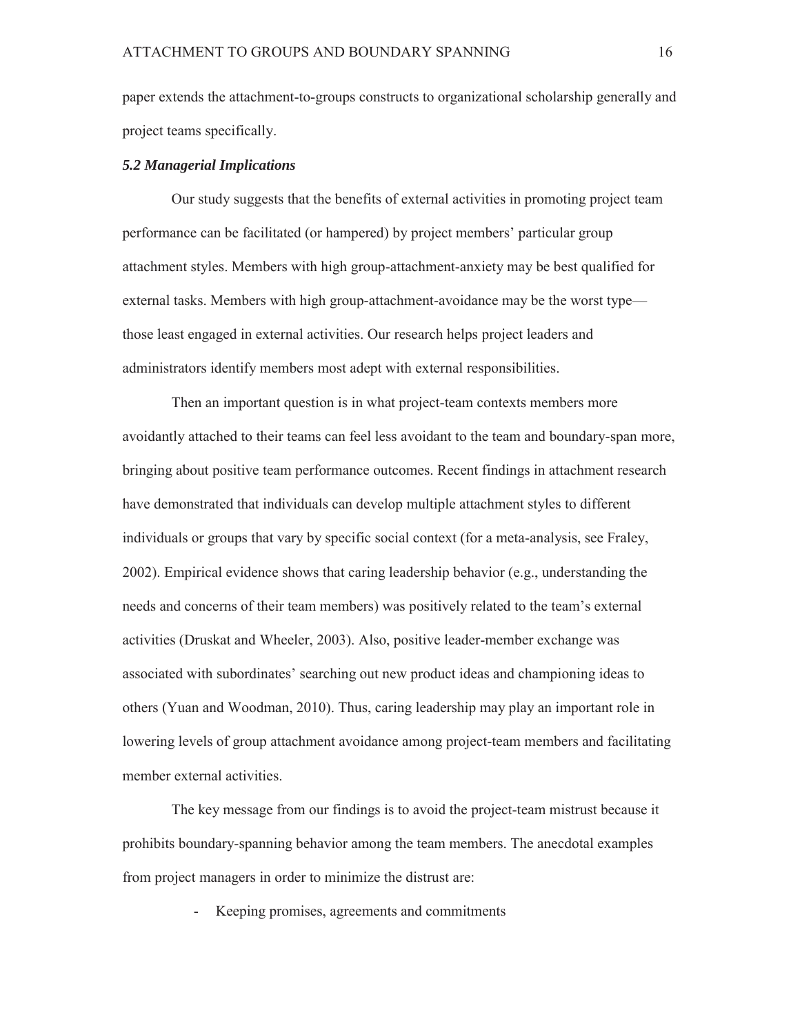paper extends the attachment-to-groups constructs to organizational scholarship generally and project teams specifically.

### *5.2 Managerial Implications*

Our study suggests that the benefits of external activities in promoting project team performance can be facilitated (or hampered) by project members' particular group attachment styles. Members with high group-attachment-anxiety may be best qualified for external tasks. Members with high group-attachment-avoidance may be the worst type those least engaged in external activities. Our research helps project leaders and administrators identify members most adept with external responsibilities.

Then an important question is in what project-team contexts members more avoidantly attached to their teams can feel less avoidant to the team and boundary-span more, bringing about positive team performance outcomes. Recent findings in attachment research have demonstrated that individuals can develop multiple attachment styles to different individuals or groups that vary by specific social context (for a meta-analysis, see Fraley, 2002). Empirical evidence shows that caring leadership behavior (e.g., understanding the needs and concerns of their team members) was positively related to the team's external activities (Druskat and Wheeler, 2003). Also, positive leader-member exchange was associated with subordinates' searching out new product ideas and championing ideas to others (Yuan and Woodman, 2010). Thus, caring leadership may play an important role in lowering levels of group attachment avoidance among project-team members and facilitating member external activities.

The key message from our findings is to avoid the project-team mistrust because it prohibits boundary-spanning behavior among the team members. The anecdotal examples from project managers in order to minimize the distrust are:

Keeping promises, agreements and commitments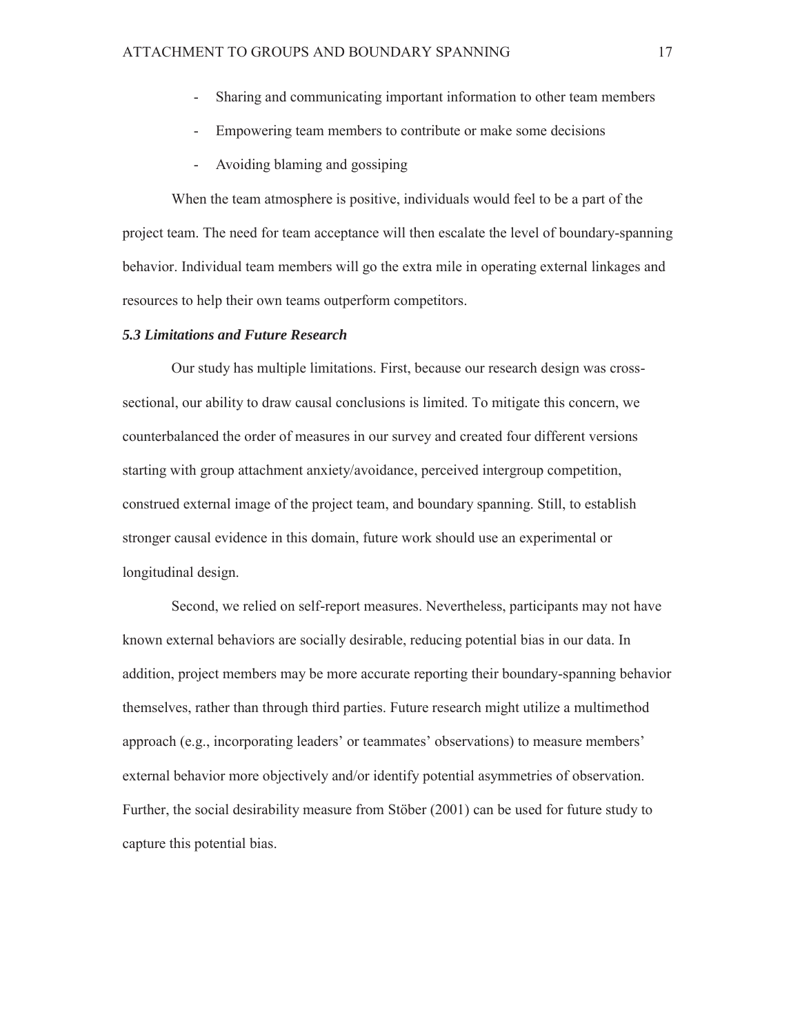- Sharing and communicating important information to other team members
- Empowering team members to contribute or make some decisions
- Avoiding blaming and gossiping

When the team atmosphere is positive, individuals would feel to be a part of the project team. The need for team acceptance will then escalate the level of boundary-spanning behavior. Individual team members will go the extra mile in operating external linkages and resources to help their own teams outperform competitors.

#### *5.3 Limitations and Future Research*

Our study has multiple limitations. First, because our research design was crosssectional, our ability to draw causal conclusions is limited. To mitigate this concern, we counterbalanced the order of measures in our survey and created four different versions starting with group attachment anxiety/avoidance, perceived intergroup competition, construed external image of the project team, and boundary spanning. Still, to establish stronger causal evidence in this domain, future work should use an experimental or longitudinal design.

Second, we relied on self-report measures. Nevertheless, participants may not have known external behaviors are socially desirable, reducing potential bias in our data. In addition, project members may be more accurate reporting their boundary-spanning behavior themselves, rather than through third parties. Future research might utilize a multimethod approach (e.g., incorporating leaders' or teammates' observations) to measure members' external behavior more objectively and/or identify potential asymmetries of observation. Further, the social desirability measure from Stöber (2001) can be used for future study to capture this potential bias.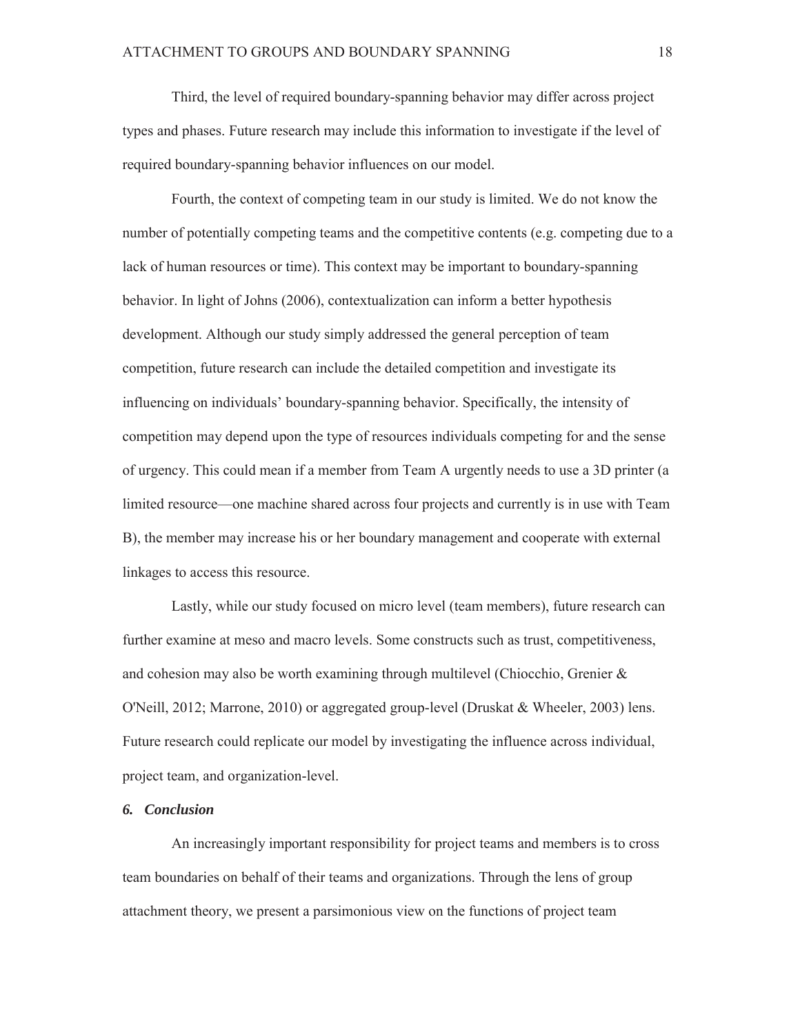Third, the level of required boundary-spanning behavior may differ across project types and phases. Future research may include this information to investigate if the level of required boundary-spanning behavior influences on our model.

Fourth, the context of competing team in our study is limited. We do not know the number of potentially competing teams and the competitive contents (e.g. competing due to a lack of human resources or time). This context may be important to boundary-spanning behavior. In light of Johns (2006), contextualization can inform a better hypothesis development. Although our study simply addressed the general perception of team competition, future research can include the detailed competition and investigate its influencing on individuals' boundary-spanning behavior. Specifically, the intensity of competition may depend upon the type of resources individuals competing for and the sense of urgency. This could mean if a member from Team A urgently needs to use a 3D printer (a limited resource—one machine shared across four projects and currently is in use with Team B), the member may increase his or her boundary management and cooperate with external linkages to access this resource.

Lastly, while our study focused on micro level (team members), future research can further examine at meso and macro levels. Some constructs such as trust, competitiveness, and cohesion may also be worth examining through multilevel (Chiocchio, Grenier & O'Neill, 2012; Marrone, 2010) or aggregated group-level (Druskat & Wheeler, 2003) lens. Future research could replicate our model by investigating the influence across individual, project team, and organization-level.

### *6. Conclusion*

An increasingly important responsibility for project teams and members is to cross team boundaries on behalf of their teams and organizations. Through the lens of group attachment theory, we present a parsimonious view on the functions of project team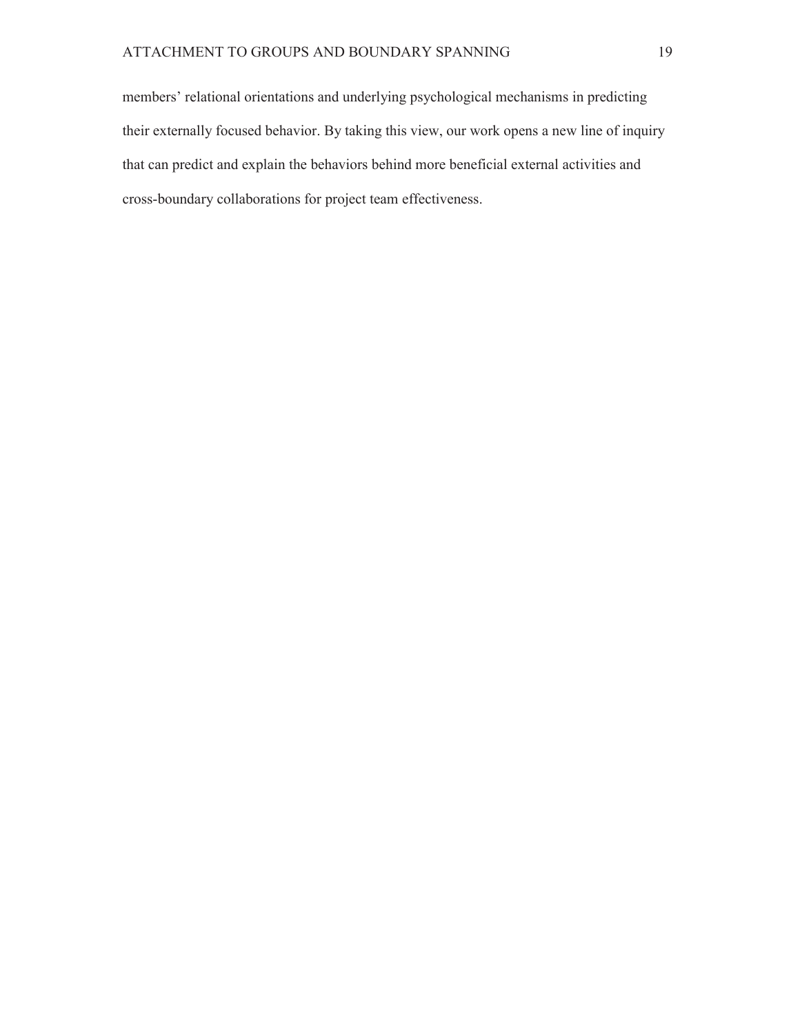members' relational orientations and underlying psychological mechanisms in predicting their externally focused behavior. By taking this view, our work opens a new line of inquiry that can predict and explain the behaviors behind more beneficial external activities and cross-boundary collaborations for project team effectiveness.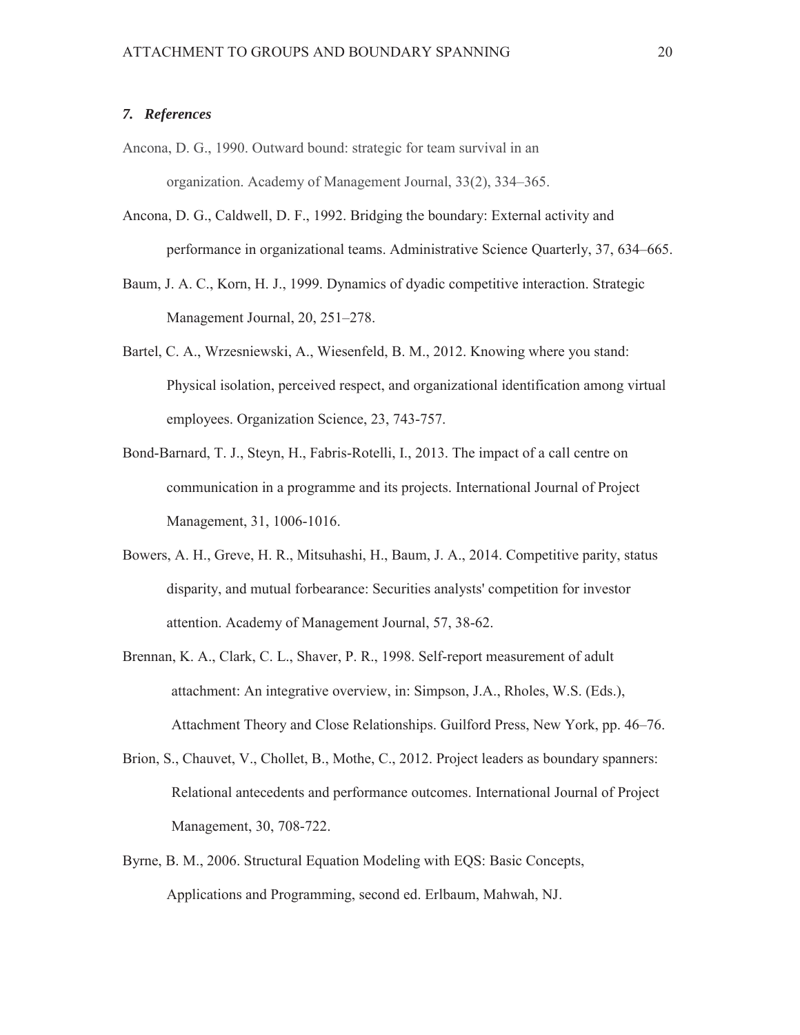### *7. References*

- Ancona, D. G., 1990. Outward bound: strategic for team survival in an organization. Academy of Management Journal, 33(2), 334–365.
- Ancona, D. G., Caldwell, D. F., 1992. Bridging the boundary: External activity and performance in organizational teams. Administrative Science Quarterly, 37, 634–665.
- Baum, J. A. C., Korn, H. J., 1999. Dynamics of dyadic competitive interaction. Strategic Management Journal, 20, 251–278.
- Bartel, C. A., Wrzesniewski, A., Wiesenfeld, B. M., 2012. Knowing where you stand: Physical isolation, perceived respect, and organizational identification among virtual employees. Organization Science, 23, 743-757.
- Bond-Barnard, T. J., Steyn, H., Fabris-Rotelli, I., 2013. The impact of a call centre on communication in a programme and its projects. International Journal of Project Management, 31, 1006-1016.
- Bowers, A. H., Greve, H. R., Mitsuhashi, H., Baum, J. A., 2014. Competitive parity, status disparity, and mutual forbearance: Securities analysts' competition for investor attention. Academy of Management Journal, 57, 38-62.
- Brennan, K. A., Clark, C. L., Shaver, P. R., 1998. Self-report measurement of adult attachment: An integrative overview, in: Simpson, J.A., Rholes, W.S. (Eds.), Attachment Theory and Close Relationships. Guilford Press, New York, pp. 46–76.
- Brion, S., Chauvet, V., Chollet, B., Mothe, C., 2012. Project leaders as boundary spanners: Relational antecedents and performance outcomes. International Journal of Project Management, 30, 708-722.
- Byrne, B. M., 2006. Structural Equation Modeling with EQS: Basic Concepts, Applications and Programming, second ed. Erlbaum, Mahwah, NJ.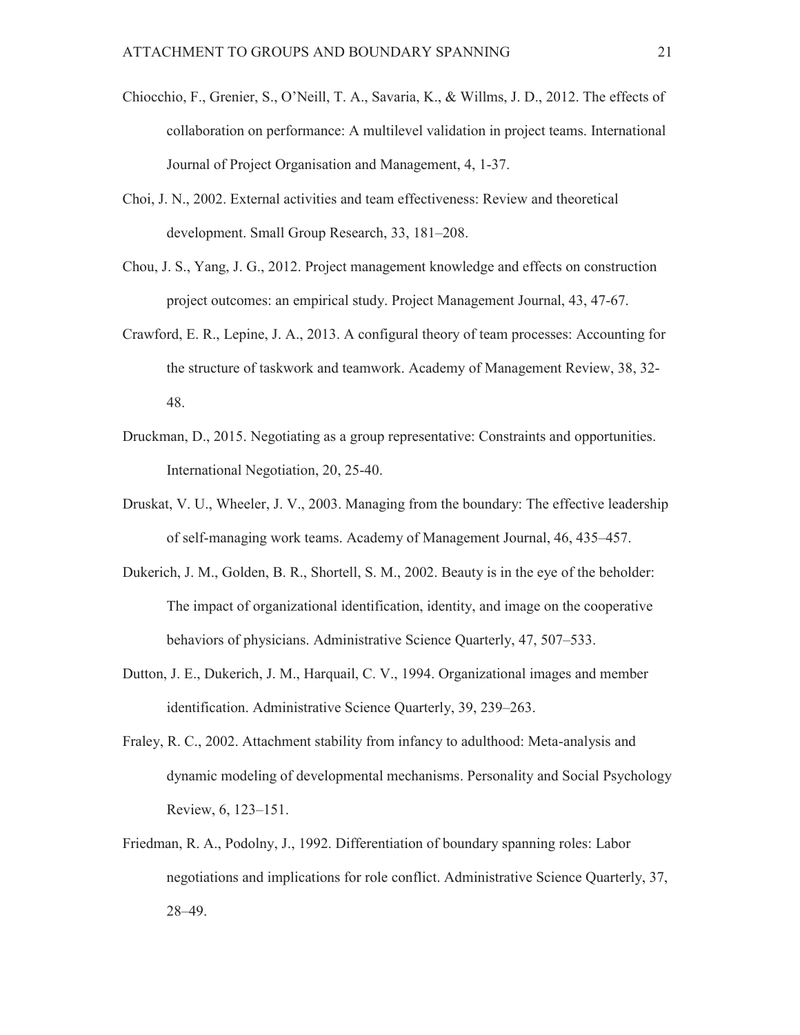- Chiocchio, F., Grenier, S., O'Neill, T. A., Savaria, K., & Willms, J. D., 2012. The effects of collaboration on performance: A multilevel validation in project teams. International Journal of Project Organisation and Management, 4, 1-37.
- Choi, J. N., 2002. External activities and team effectiveness: Review and theoretical development. Small Group Research, 33, 181–208.
- Chou, J. S., Yang, J. G., 2012. Project management knowledge and effects on construction project outcomes: an empirical study. Project Management Journal, 43, 47-67.
- Crawford, E. R., Lepine, J. A., 2013. A configural theory of team processes: Accounting for the structure of taskwork and teamwork. Academy of Management Review, 38, 32- 48.
- Druckman, D., 2015. Negotiating as a group representative: Constraints and opportunities. International Negotiation, 20, 25-40.
- Druskat, V. U., Wheeler, J. V., 2003. Managing from the boundary: The effective leadership of self-managing work teams. Academy of Management Journal, 46, 435–457.
- Dukerich, J. M., Golden, B. R., Shortell, S. M., 2002. Beauty is in the eye of the beholder: The impact of organizational identification, identity, and image on the cooperative behaviors of physicians. Administrative Science Quarterly, 47, 507–533.
- Dutton, J. E., Dukerich, J. M., Harquail, C. V., 1994. Organizational images and member identification. Administrative Science Quarterly, 39, 239–263.
- Fraley, R. C., 2002. Attachment stability from infancy to adulthood: Meta-analysis and dynamic modeling of developmental mechanisms. Personality and Social Psychology Review, 6, 123–151.
- Friedman, R. A., Podolny, J., 1992. Differentiation of boundary spanning roles: Labor negotiations and implications for role conflict. Administrative Science Quarterly, 37, 28–49.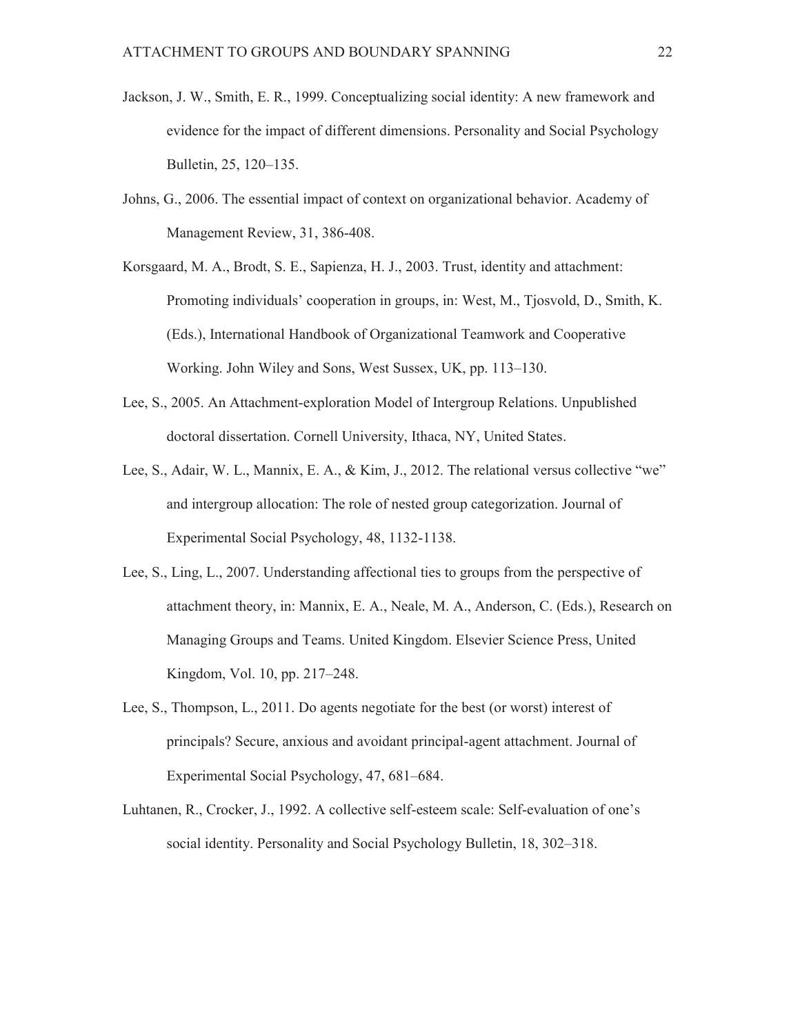- Jackson, J. W., Smith, E. R., 1999. Conceptualizing social identity: A new framework and evidence for the impact of different dimensions. Personality and Social Psychology Bulletin, 25, 120–135.
- Johns, G., 2006. The essential impact of context on organizational behavior. Academy of Management Review, 31, 386-408.
- Korsgaard, M. A., Brodt, S. E., Sapienza, H. J., 2003. Trust, identity and attachment: Promoting individuals' cooperation in groups, in: West, M., Tjosvold, D., Smith, K. (Eds.), International Handbook of Organizational Teamwork and Cooperative Working. John Wiley and Sons, West Sussex, UK, pp. 113–130.
- Lee, S., 2005. An Attachment-exploration Model of Intergroup Relations. Unpublished doctoral dissertation. Cornell University, Ithaca, NY, United States.
- Lee, S., Adair, W. L., Mannix, E. A., & Kim, J., 2012. The relational versus collective "we" and intergroup allocation: The role of nested group categorization. Journal of Experimental Social Psychology, 48, 1132-1138.
- Lee, S., Ling, L., 2007. Understanding affectional ties to groups from the perspective of attachment theory, in: Mannix, E. A., Neale, M. A., Anderson, C. (Eds.), Research on Managing Groups and Teams. United Kingdom. Elsevier Science Press, United Kingdom, Vol. 10, pp. 217–248.
- Lee, S., Thompson, L., 2011. Do agents negotiate for the best (or worst) interest of principals? Secure, anxious and avoidant principal-agent attachment. Journal of Experimental Social Psychology, 47, 681–684.
- Luhtanen, R., Crocker, J., 1992. A collective self-esteem scale: Self-evaluation of one's social identity. Personality and Social Psychology Bulletin, 18, 302–318.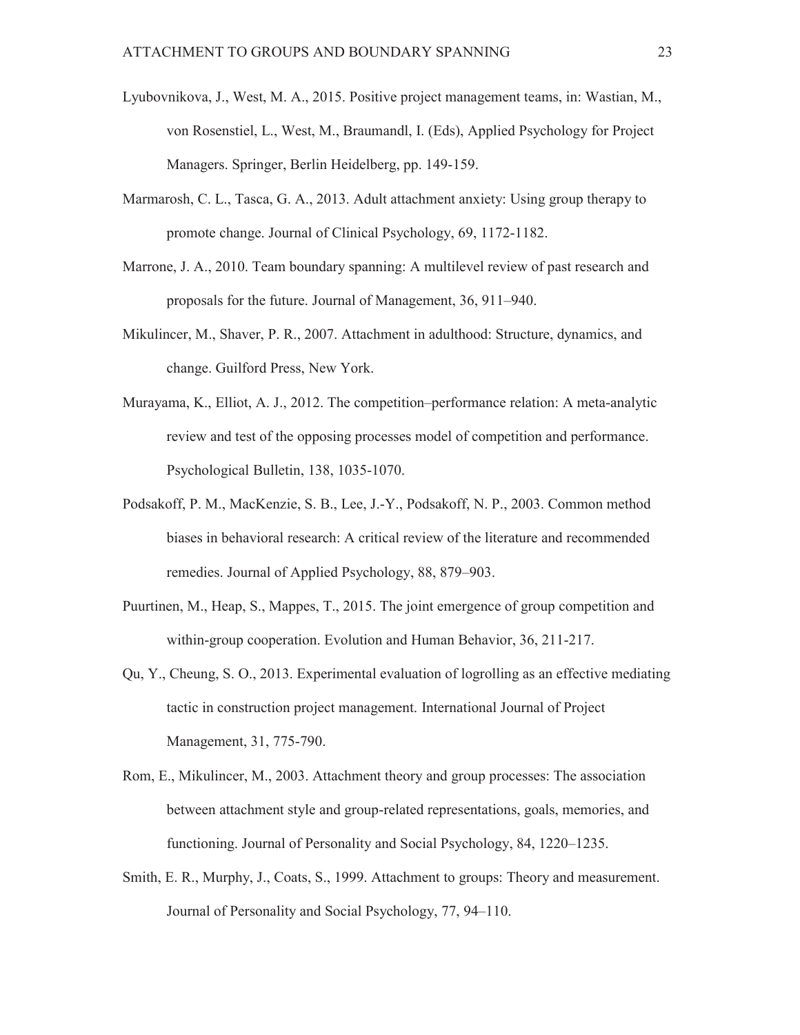- Lyubovnikova, J., West, M. A., 2015. Positive project management teams, in: Wastian, M., von Rosenstiel, L., West, M., Braumandl, I. (Eds), Applied Psychology for Project Managers. Springer, Berlin Heidelberg, pp. 149-159.
- Marmarosh, C. L., Tasca, G. A., 2013. Adult attachment anxiety: Using group therapy to promote change. Journal of Clinical Psychology, 69, 1172-1182.
- Marrone, J. A., 2010. Team boundary spanning: A multilevel review of past research and proposals for the future. Journal of Management, 36, 911–940.
- Mikulincer, M., Shaver, P. R., 2007. Attachment in adulthood: Structure, dynamics, and change. Guilford Press, New York.
- Murayama, K., Elliot, A. J., 2012. The competition–performance relation: A meta-analytic review and test of the opposing processes model of competition and performance. Psychological Bulletin, 138, 1035-1070.
- Podsakoff, P. M., MacKenzie, S. B., Lee, J.-Y., Podsakoff, N. P., 2003. Common method biases in behavioral research: A critical review of the literature and recommended remedies. Journal of Applied Psychology, 88, 879–903.
- Puurtinen, M., Heap, S., Mappes, T., 2015. The joint emergence of group competition and within-group cooperation. Evolution and Human Behavior, 36, 211-217.
- Qu, Y., Cheung, S. O., 2013. Experimental evaluation of logrolling as an effective mediating tactic in construction project management. International Journal of Project Management, 31, 775-790.
- Rom, E., Mikulincer, M., 2003. Attachment theory and group processes: The association between attachment style and group-related representations, goals, memories, and functioning. Journal of Personality and Social Psychology, 84, 1220–1235.
- Smith, E. R., Murphy, J., Coats, S., 1999. Attachment to groups: Theory and measurement. Journal of Personality and Social Psychology, 77, 94–110.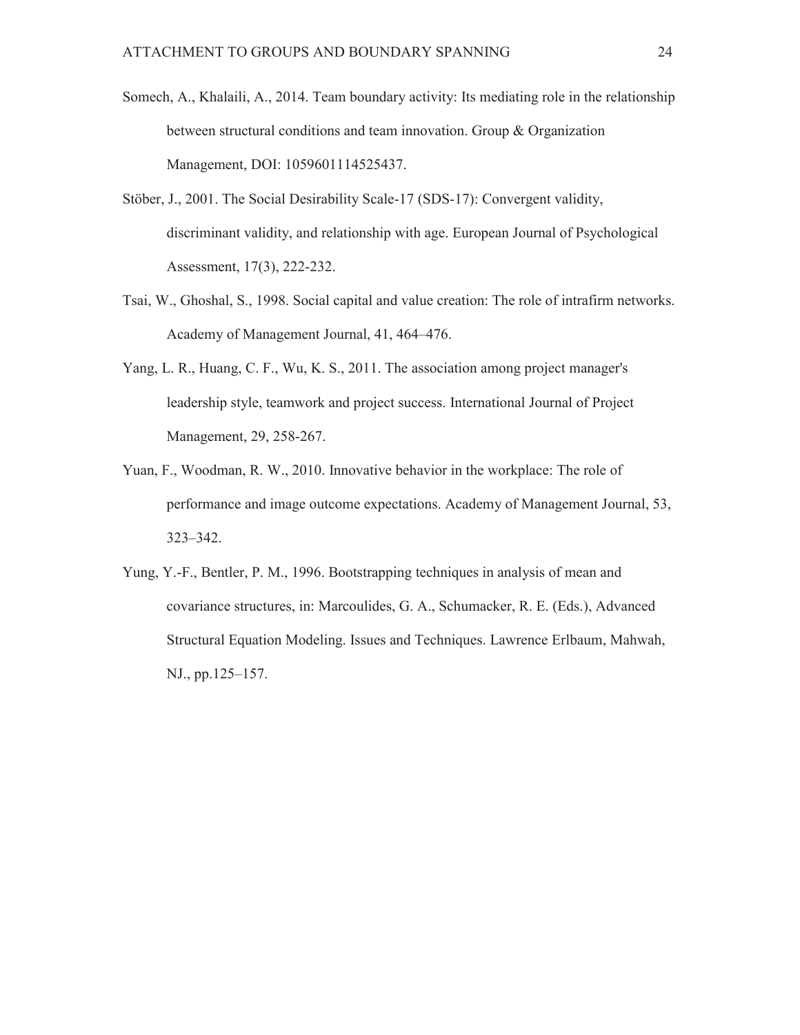- Somech, A., Khalaili, A., 2014. Team boundary activity: Its mediating role in the relationship between structural conditions and team innovation. Group & Organization Management, DOI: 1059601114525437.
- Stöber, J., 2001. The Social Desirability Scale-17 (SDS-17): Convergent validity, discriminant validity, and relationship with age. European Journal of Psychological Assessment, 17(3), 222-232.
- Tsai, W., Ghoshal, S., 1998. Social capital and value creation: The role of intrafirm networks. Academy of Management Journal, 41, 464–476.
- Yang, L. R., Huang, C. F., Wu, K. S., 2011. The association among project manager's leadership style, teamwork and project success. International Journal of Project Management, 29, 258-267.
- Yuan, F., Woodman, R. W., 2010. Innovative behavior in the workplace: The role of performance and image outcome expectations. Academy of Management Journal, 53, 323–342.
- Yung, Y.-F., Bentler, P. M., 1996. Bootstrapping techniques in analysis of mean and covariance structures, in: Marcoulides, G. A., Schumacker, R. E. (Eds.), Advanced Structural Equation Modeling. Issues and Techniques. Lawrence Erlbaum, Mahwah, NJ., pp.125–157.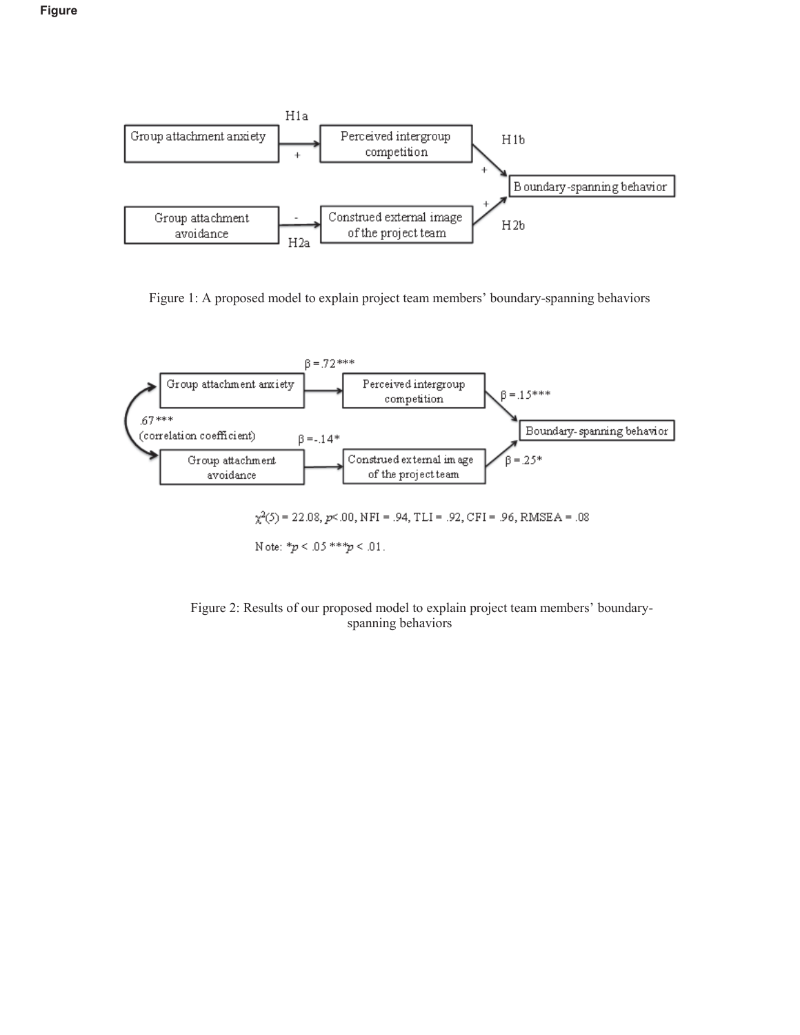



Figure 1: A proposed model to explain project team members' boundary-spanning behaviors



Figure 2: Results of our proposed model to explain project team members' boundaryspanning behaviors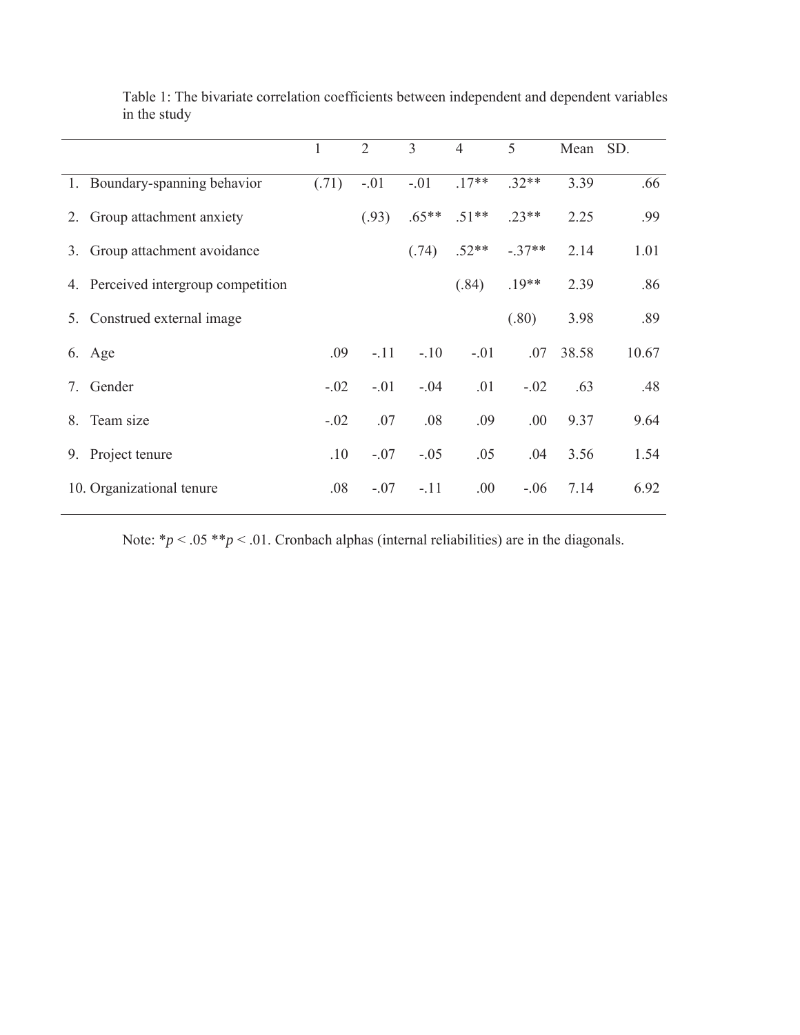|    |                                     | 1      | $\overline{2}$ | 3       | $\overline{4}$ | 5        | Mean SD. |       |
|----|-------------------------------------|--------|----------------|---------|----------------|----------|----------|-------|
|    | 1. Boundary-spanning behavior       | (.71)  | $-.01$         | $-.01$  | $.17**$        | $.32**$  | 3.39     | .66   |
| 2. | Group attachment anxiety            |        | (.93)          | $.65**$ | $.51**$        | $.23**$  | 2.25     | .99   |
| 3. | Group attachment avoidance          |        |                | (.74)   | $.52**$        | $-.37**$ | 2.14     | 1.01  |
|    | 4. Perceived intergroup competition |        |                |         | (.84)          | $.19**$  | 2.39     | .86   |
|    | 5. Construed external image         |        |                |         |                | (.80)    | 3.98     | .89   |
|    | 6. Age                              | .09    | $-.11$         | $-.10$  | $-.01$         | .07      | 38.58    | 10.67 |
| 7. | Gender                              | $-.02$ | $-.01$         | $-.04$  | .01            | $-.02$   | .63      | .48   |
| 8. | Team size                           | $-.02$ | .07            | .08     | .09            | .00      | 9.37     | 9.64  |
|    | 9. Project tenure                   | .10    | $-.07$         | $-.05$  | .05            | .04      | 3.56     | 1.54  |
|    | 10. Organizational tenure           | .08    | $-.07$         | $-.11$  | .00.           | $-.06$   | 7.14     | 6.92  |

Table 1: The bivariate correlation coefficients between independent and dependent variables in the study

Note:  $*p < .05 **p < .01$ . Cronbach alphas (internal reliabilities) are in the diagonals.